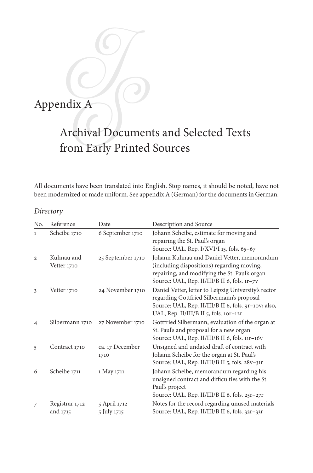# Appendix A

# Archival Documents and Selected Texts from Early Printed Sources

All documents have been translated into English. Stop names, it should be noted, have not been modernized or made uniform. See appendix A (German) for the documents in German.

# *Directory*

| No.            | Reference                  | Date                        | Description and Source                                                                                                                                                                              |
|----------------|----------------------------|-----------------------------|-----------------------------------------------------------------------------------------------------------------------------------------------------------------------------------------------------|
| $\mathbf{1}$   | Scheibe 1710               | 6 September 1710            | Johann Scheibe, estimate for moving and<br>repairing the St. Paul's organ<br>Source: UAL, Rep. I/XVI/I 15, fols. 65-67                                                                              |
| $\mathbf{2}$   | Kuhnau and<br>Vetter 1710  | 25 September 1710           | Johann Kuhnau and Daniel Vetter, memorandum<br>(including dispositions) regarding moving,<br>repairing, and modifying the St. Paul's organ<br>Source: UAL, Rep. II/III/B II 6, fols. 1r-7v          |
| 3              | Vetter 1710                | 24 November 1710            | Daniel Vetter, letter to Leipzig University's rector<br>regarding Gottfried Silbermann's proposal<br>Source: UAL, Rep. II/III/B II 6, fols. 9r-10v; also,<br>UAL, Rep. II/III/B II 5, fols. 10r-12r |
| $\overline{4}$ | Silbermann 1710            | 27 November 1710            | Gottfried Silbermann, evaluation of the organ at<br>St. Paul's and proposal for a new organ<br>Source: UAL, Rep. II/III/B II 6, fols. 11r-16v                                                       |
| 5              | Contract 1710              | ca. 17 December<br>1710     | Unsigned and undated draft of contract with<br>Johann Scheibe for the organ at St. Paul's<br>Source: UAL, Rep. II/III/B II 5, fols. 28v-31r                                                         |
| 6              | Scheibe 1711               | 1 May 1711                  | Johann Scheibe, memorandum regarding his<br>unsigned contract and difficulties with the St.<br>Paul's project<br>Source: UAL, Rep. II/III/B II 6, fols. 25r-27r                                     |
| 7              | Registrar 1712<br>and 1715 | 5 April 1712<br>5 July 1715 | Notes for the record regarding unused materials<br>Source: UAL, Rep. II/III/B II 6, fols. 32r-33r                                                                                                   |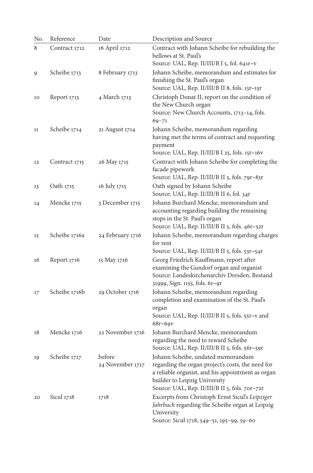| No. | Reference     | Date                       | Description and Source                                                                                                                                                                                                          |
|-----|---------------|----------------------------|---------------------------------------------------------------------------------------------------------------------------------------------------------------------------------------------------------------------------------|
| 8   | Contract 1712 | 16 April 1712              | Contract with Johann Scheibe for rebuilding the<br>bellows at St. Paul's<br>Source: UAL, Rep. II/III/B I 5, fol. 641r-v                                                                                                         |
| 9   | Scheibe 1713  | 8 February 1713            | Johann Scheibe, memorandum and estimates for<br>finishing the St. Paul's organ<br>Source: UAL, Rep. II/III/B II 8, fols. 13r-15r                                                                                                |
| 10  | Report 1713   | 4 March 1713               | Christoph Donat II, report on the condition of<br>the New Church organ<br>Source: New Church Accounts, 1713-14, fols.<br>$69 - 71$                                                                                              |
| 11  | Scheibe 1714  | 21 August 1714             | Johann Scheibe, memorandum regarding<br>having met the terms of contract and requesting<br>payment<br>Source: UAL, Rep. II/III/B I 25, fols. 15r-16v                                                                            |
| 12  | Contract 1715 | 26 May 1715                | Contract with Johann Scheibe for completing the<br>facade pipework<br>Source: UAL, Rep. II/III/B II 5, fols. 79r-83r                                                                                                            |
| 13  | Oath 1715     | 16 July 1715               | Oath signed by Johann Scheibe<br>Source: UAL, Rep. II/III/B II 6, fol. 34r                                                                                                                                                      |
| 14  | Mencke 1715   | 3 December 1715            | Johann Burchard Mencke, memorandum and<br>accounting regarding building the remaining<br>stops in the St. Paul's organ<br>Source: UAL, Rep. II/III/B II 5, fols. 46r-52r                                                        |
| 15  | Scheibe 1716a | 24 February 1716           | Johann Scheibe, memorandum regarding charges<br>for rent                                                                                                                                                                        |
| 16  | Report 1716   | 15 May 1716                | Source: UAL, Rep. II/III/B II 5, fols. 53r-54r<br>Georg Friedrich Kauffmann, report after<br>examining the Gundorf organ and organist<br>Source: Landeskirchenarchiv Dresden, Bestand<br>31999, Sign. 1155, fols. 6r-9r         |
| 17  | Scheibe 1716b | 29 October 1716            | Johann Scheibe, memorandum regarding<br>completion and examination of the St. Paul's<br>organ<br>Source: UAL, Rep. II/III/B II 5, fols. 55r-v and<br>$68r - 69v$                                                                |
| 18  | Mencke 1716   | 22 November 1716           | Johann Burchard Mencke, memorandum<br>regarding the need to reward Scheibe<br>Source: UAL, Rep. II/III/B II 5, fols. 56r-59r                                                                                                    |
| 19  | Scheibe 1717  | before<br>24 November 1717 | Johann Scheibe, undated memorandum<br>regarding the organ project's costs, the need for<br>a reliable organist, and his appointment as organ<br>builder to Leipzig University<br>Source: UAL, Rep. II/III/B II 5, fols. 70r-72r |
| 20  | Sicul $1718$  | 1718                       | Excerpts from Christoph Ernst Sicul's Leipziger<br>Jahrbuch regarding the Scheibe organ at Leipzig<br>University<br>Source: Sicul 1718, 549-51, 195-99, 59-60                                                                   |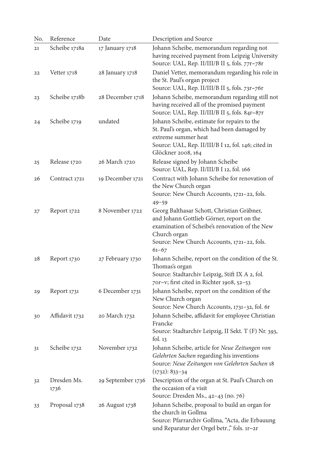| No. | Reference           | Date              | Description and Source                                                                                                                                                                                                |
|-----|---------------------|-------------------|-----------------------------------------------------------------------------------------------------------------------------------------------------------------------------------------------------------------------|
| 21  | Scheibe 1718a       | 17 January 1718   | Johann Scheibe, memorandum regarding not<br>having received payment from Leipzig University<br>Source: UAL, Rep. II/III/B II 5, fols. 77r-78r                                                                         |
| 22  | Vetter 1718         | 28 January 1718   | Daniel Vetter, memorandum regarding his role in<br>the St. Paul's organ project<br>Source: UAL, Rep. II/III/B II 5, fols. 73r-76r                                                                                     |
| 23  | Scheibe 1718b       | 28 December 1718  | Johann Scheibe, memorandum regarding still not<br>having received all of the promised payment<br>Source: UAL, Rep. II/III/B II 5, fols. 84r-87r                                                                       |
| 24  | Scheibe 1719        | undated           | Johann Scheibe, estimate for repairs to the<br>St. Paul's organ, which had been damaged by<br>extreme summer heat<br>Source: UAL, Rep. II/III/B I 12, fol. 146; cited in<br>Glöckner 2008, 164                        |
| 25  | Release 1720        | 26 March 1720     | Release signed by Johann Scheibe<br>Source: UAL, Rep. II/III/B I 12, fol. 166                                                                                                                                         |
| 26  | Contract 1721       | 19 December 1721  | Contract with Johann Scheibe for renovation of<br>the New Church organ<br>Source: New Church Accounts, 1721-22, fols.<br>$49 - 59$                                                                                    |
| 27  | Report 1722         | 8 November 1722   | Georg Balthasar Schott, Christian Gräbner,<br>and Johann Gottlieb Görner, report on the<br>examination of Scheibe's renovation of the New<br>Church organ<br>Source: New Church Accounts, 1721-22, fols.<br>$61 - 67$ |
| 28  | Report 1730         | 27 February 1730  | Johann Scheibe, report on the condition of the St.<br>Thomas's organ<br>Source: Stadtarchiv Leipzig, Stift IX A 2, fol.<br>70r-v; first cited in Richter 1908, 52-53                                                  |
| 29  | Report 1731         | 6 December 1731   | Johann Scheibe, report on the condition of the<br>New Church organ<br>Source: New Church Accounts, 1731-32, fol. 6r                                                                                                   |
| 30  | Affidavit 1732      | 20 March 1732     | Johann Scheibe, affidavit for employee Christian<br>Francke<br>Source: Stadtarchiv Leipzig, II Sekt. T (F) Nr. 393,<br>fol. $13$                                                                                      |
| 31  | Scheibe 1732        | November 1732     | Johann Scheibe, article for Neue Zeitungen von<br>Gelehrten Sachen regarding his inventions<br>Source: Neue Zeitungen von Gelehrten Sachen 18<br>$(1732): 833 - 34$                                                   |
| 32  | Dresden Ms.<br>1736 | 29 September 1736 | Description of the organ at St. Paul's Church on<br>the occasion of a visit<br>Source: Dresden Ms., 42-43 (no. 76)                                                                                                    |
| 33  | Proposal 1738       | 26 August 1738    | Johann Scheibe, proposal to build an organ for<br>the church in Gollma<br>Source: Pfarrarchiv Gollma, "Acta, die Erbauung<br>und Reparatur der Orgel betr.," fols. 1r-2r                                              |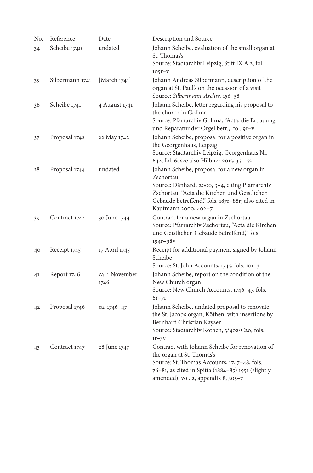| No. | Reference       | Date                   | Description and Source                                                                                                                                                                                                                   |
|-----|-----------------|------------------------|------------------------------------------------------------------------------------------------------------------------------------------------------------------------------------------------------------------------------------------|
| 34  | Scheibe 1740    | undated                | Johann Scheibe, evaluation of the small organ at<br>St. Thomas's<br>Source: Stadtarchiv Leipzig, Stift IX A 2, fol.<br>$105r - v$                                                                                                        |
| 35  | Silbermann 1741 | [March 1741]           | Johann Andreas Silbermann, description of the<br>organ at St. Paul's on the occasion of a visit<br>Source: Silbermann-Archiv, 156-58                                                                                                     |
| 36  | Scheibe 1741    | 4 August 1741          | Johann Scheibe, letter regarding his proposal to<br>the church in Gollma<br>Source: Pfarrarchiv Gollma, "Acta, die Erbauung<br>und Reparatur der Orgel betr.," fol. 9r-v                                                                 |
| 37  | Proposal 1742   | 22 May 1742            | Johann Scheibe, proposal for a positive organ in<br>the Georgenhaus, Leipzig<br>Source: Stadtarchiv Leipzig, Georgenhaus Nr.<br>642, fol. 6; see also Hübner 2013, 351-52                                                                |
| 38  | Proposal 1744   | undated                | Johann Scheibe, proposal for a new organ in<br>Zschortau<br>Source: Dänhardt 2000, 3-4, citing Pfarrarchiv<br>Zschortau, "Acta die Kirchen und Geistlichen<br>Gebäude betreffend," fols. 187r-88r; also cited in<br>Kaufmann 2000, 406-7 |
| 39  | Contract 1744   | 30 June 1744           | Contract for a new organ in Zschortau<br>Source: Pfarrarchiv Zschortau, "Acta die Kirchen<br>und Geistlichen Gebäude betreffend," fols.<br>$194r - 98v$                                                                                  |
| 40  | Receipt 1745    | 17 April 1745          | Receipt for additional payment signed by Johann<br>Scheibe<br>Source: St. John Accounts, 1745, fols. 101-3                                                                                                                               |
| 41  | Report 1746     | ca. 1 November<br>1746 | Johann Scheibe, report on the condition of the<br>New Church organ<br>Source: New Church Accounts, 1746-47, fols.<br>$6r-7r$                                                                                                             |
| 42  | Proposal 1746   | ca. 1746-47            | Johann Scheibe, undated proposal to renovate<br>the St. Jacob's organ, Köthen, with insertions by<br>Bernhard Christian Kayser<br>Source: Stadtarchiv Köthen, 3/402/C20, fols.<br>$1r-3v$                                                |
| 43  | Contract 1747   | 28 June 1747           | Contract with Johann Scheibe for renovation of<br>the organ at St. Thomas's<br>Source: St. Thomas Accounts, 1747-48, fols.<br>76-81, as cited in Spitta (1884-85) 1951 (slightly<br>amended), vol. 2, appendix 8, 305-7                  |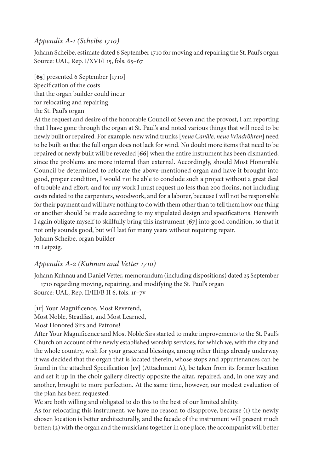# *Appendix A-1 (Scheibe 1710)*

Johann Scheibe, estimate dated 6 September 1710 for moving and repairing the St. Paul's organ Source: UAL, Rep. I/XVI/I 15, fols. 65–67

[**65**] presented 6 September [1710] Specification of the costs that the organ builder could incur for relocating and repairing the St. Paul's organ

At the request and desire of the honorable Council of Seven and the provost, I am reporting that I have gone through the organ at St. Paul's and noted various things that will need to be newly built or repaired. For example, new wind trunks [*neue Canäle, neue Windröhren*] need to be built so that the full organ does not lack for wind. No doubt more items that need to be repaired or newly built will be revealed [**66**] when the entire instrument has been dismantled, since the problems are more internal than external. Accordingly, should Most Honorable Council be determined to relocate the above-mentioned organ and have it brought into good, proper condition, I would not be able to conclude such a project without a great deal of trouble and effort, and for my work I must request no less than 200 florins, not including costs related to the carpenters, woodwork, and for a laborer, because I will not be responsible for their payment and will have nothing to do with them other than to tell them how one thing or another should be made according to my stipulated design and specifications. Herewith I again obligate myself to skillfully bring this instrument [**67**] into good condition, so that it not only sounds good, but will last for many years without requiring repair. Johann Scheibe, organ builder in Leipzig.

# *Appendix A-2 (Kuhnau and Vetter 1710)*

Johann Kuhnau and Daniel Vetter, memorandum (including dispositions) dated 25 September 1710 regarding moving, repairing, and modifying the St. Paul's organ

Source: UAL, Rep. II/III/B II 6, fols. 1r**–**7v

[**1r**] Your Magnificence, Most Reverend,

Most Noble, Steadfast, and Most Learned,

Most Honored Sirs and Patrons!

After Your Magnificence and Most Noble Sirs started to make improvements to the St. Paul's Church on account of the newly established worship services, for which we, with the city and the whole country, wish for your grace and blessings, among other things already underway it was decided that the organ that is located therein, whose stops and appurtenances can be found in the attached Specification [**1v**] (Attachment A), be taken from its former location and set it up in the choir gallery directly opposite the altar, repaired, and, in one way and another, brought to more perfection. At the same time, however, our modest evaluation of the plan has been requested.

We are both willing and obligated to do this to the best of our limited ability.

As for relocating this instrument, we have no reason to disapprove, because (1) the newly chosen location is better architecturally, and the facade of the instrument will present much better; (2) with the organ and the musicians together in one place, the accompanist will better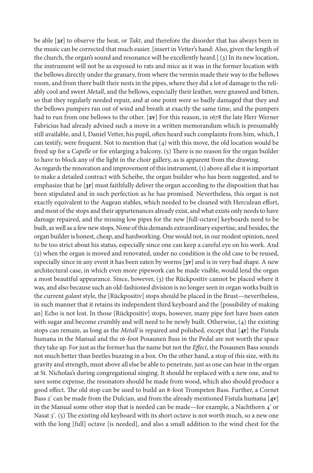be able [**2r**] to observe the beat, or *Takt*, and therefore the disorder that has always been in the music can be corrected that much easier. [insert in Vetter's hand: Also, given the length of the church, the organ's sound and resonance will be excellently heard.] (3) In its new location, the instrument will not be as exposed to rats and mice as it was in the former location with the bellows directly under the granary, from where the vermin made their way to the bellows room, and from there built their nests in the pipes, where they did a lot of damage to the reliably cool and sweet *Metall*, and the bellows, especially their leather, were gnawed and bitten, so that they regularly needed repair, and at one point were so badly damaged that they and the bellows pumpers ran out of wind and breath at exactly the same time, and the pumpers had to run from one bellows to the other. [**2v**] For this reason, in 1678 the late Herr Werner Fabricius had already advised such a move in a written memorandum which is presumably still available, and I, Daniel Vetter, his pupil, often heard such complaints from him, which, I can testify, were frequent. Not to mention that (4) with this move, the old location would be freed up for a *Capelle* or for enlarging a balcony. (5) There is no reason for the organ builder to have to block any of the light in the choir gallery, as is apparent from the drawing.

As regards the renovation and improvement of this instrument, (1) above all else it is important to make a detailed contract with Scheibe, the organ builder who has been suggested, and to emphasize that he [**3r**] must faithfully deliver the organ according to the disposition that has been stipulated and in such perfection as he has promised. Nevertheless, this organ is not exactly equivalent to the Augean stables, which needed to be cleaned with Herculean effort, and most of the stops and their appurtenances already exist, and what exists only needs to have damage repaired, and the missing low pipes for the new [full-octave] keyboards need to be built, as well as a few new stops. None of this demands extraordinary expertise, and besides, the organ builder is honest, cheap, and hardworking. One would not, in our modest opinion, need to be too strict about his status, especially since one can keep a careful eye on his work. And (2) when the organ is moved and renovated, under no condition is the old case to be reused, especially since in any event it has been eaten by worms [**3v**] and is in very bad shape. A new architectural case, in which even more pipework can be made visible, would lend the organ a most beautiful appearance. Since, however, (3) the Rückpositiv cannot be placed where it was, and also because such an old-fashioned division is no longer seen in organ works built in the current *galant* style, the [Rückpositiv] stops should be placed in the Brust—nevertheless, in such manner that it retains its independent third keyboard and the [possibility of making an] Echo is not lost. In those [Rückpositiv] stops, however, many pipe feet have been eaten with sugar and become crumbly and will need to be newly built. Otherwise, (4) the existing stops can remain, as long as the *Metall* is repaired and polished*,* except that [**4r**] the Fistula humana in the Manual and the 16-foot Posaunen Bass in the Pedal are not worth the space they take up. For just as the former has the name but not the *Effect*, the Posaunen Bass sounds not much better than beetles buzzing in a box. On the other hand, a stop of this size, with its gravity and strength, must above all else be able to penetrate, just as one can hear in the organ at St. Nicholas's during congregational singing. It should be replaced with a new one, and to save some expense, the resonators should be made from wood, which also should produce a good effect. The old stop can be used to build an 8-foot Trompeten Bass. Further, a Cornet Bass 2ʹ can be made from the Dulcian, and from the already mentioned Fistula humana [**4v**] in the Manual some other stop that is needed can be made—for example, a Nachthorn 4ʹ or Nasat 3'. (5) The existing old keyboard with its short octave is not worth much, so a new one with the long [full] octave [is needed], and also a small addition to the wind chest for the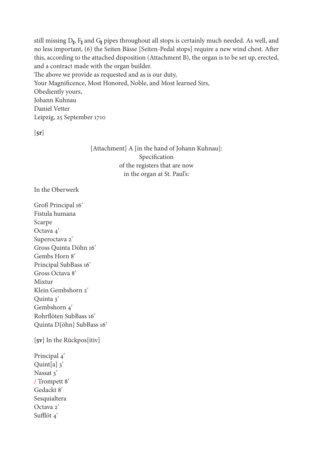still missing  $D_{\sharp}$ ,  $F_{\sharp}$  and  $G_{\sharp}$  pipes throughout all stops is certainly much needed. As well, and no less important, (6) the Seiten Bässe [Seiten-Pedal stops] require a new wind chest. After this, according to the attached disposition (Attachment B), the organ is to be set up, erected, and a contract made with the organ builder.

The above we provide as requested and as is our duty,

Your Magnificence, Most Honored, Noble, and Most learned Sirs, Obediently yours, Johann Kuhnau Daniel Vetter

Leipzig, 25 September 1710

 $[5r]$ 

[Attachment] A [in the hand of Johann Kuhnau]: Specification of the registers that are now in the organ at St. Paul's:

In the Oberwerk

Groß Principal 16ʹ Fistula humana Scarpe Octava 4ʹ Superoctava 2' Gross Quinta Döhn 16ʹ Gembs Horn 8ʹ Principal SubBass 16ʹ Gross Octava 8ʹ Mixtur Klein Gembshorn 2ʹ Quinta 3ʹ Gembshorn 4' Rohrflöten SubBass 16ʹ Quinta D[öhn] SubBass 16ʹ

[**5v**] In the Rückpos[itiv]

Principal 4ʹ Quint $[a]$  3' Nassat 3' / Trompett 8ʹ Gedackt 8ʹ Sesquialtera Octava 2ʹ Sufflöt 4ʹ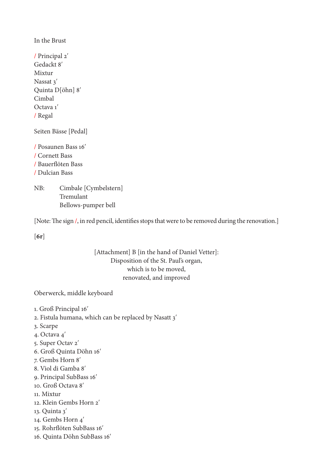In the Brust

/ Principal 2ʹ Gedackt 8ʹ Mixtur Nassat 3' Quinta D[öhn] 8ʹ Cimbal Octava 1ʹ / Regal

Seiten Bässe [Pedal]

/ Posaunen Bass 16ʹ / Cornett Bass / Bauerflöten Bass / Dulcian Bass

NB: Cimbale [Cymbelstern] Tremulant Bellows-pumper bell

[Note: The sign  $\prime$ , in red pencil, identifies stops that were to be removed during the renovation.]

[**6r**]

[Attachment] B [in the hand of Daniel Vetter]: Disposition of the St. Paul's organ, which is to be moved, renovated, and improved

Oberwerck, middle keyboard

- 1. Groß Principal 16ʹ
- 2. Fistula humana, which can be replaced by Nasatt 3ʹ
- 3. Scarpe
- 4. Octava 4ʹ
- 5. Super Octav 2ʹ
- 6. Groß Quinta Döhn 16ʹ
- 7. Gembs Horn 8ʹ
- 8. Viol di Gamba 8ʹ
- 9. Principal SubBass 16ʹ
- 10. Groß Octava 8ʹ
- 11. Mixtur
- 12. Klein Gembs Horn 2ʹ
- 13. Quinta 3ʹ
- 14. Gembs Horn 4ʹ
- 15. Rohrflöten SubBass 16ʹ
- 16. Quinta Döhn SubBass 16ʹ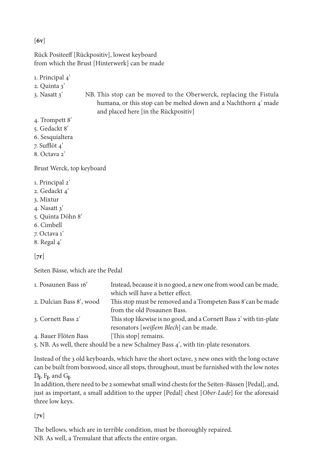[**6v**]

Rück Positeeff [Rückpositiv], lowest keyboard from which the Brust [Hinterwerk] can be made

1. Principal 4ʹ

2. Quinta 3ʹ

- 3. Nasatt 3ʹ NB. This stop can be moved to the Oberwerck, replacing the Fistula humana, or this stop can be melted down and a Nachthorn 4' made and placed here [in the Rückpositiv]
- 4. Trompett 8ʹ
- 5. Gedackt 8ʹ
- 6. Sesquialtera
- 7. Sufflöt 4ʹ
- 8. Octava 2'

Brust Werck, top keyboard

- 1. Principal 2ʹ
- 2. Gedackt 4ʹ
- 3. Mixtur
- 4. Nasatt 3ʹ
- 5. Quinta Döhn 8ʹ
- 6. Cimbell
- 7. Octava 1ʹ
- 8. Regal 4ʹ

# $[7r]$

Seiten Bässe, which are the Pedal

| 1. Posaunen Bass 16'     | Instead, because it is no good, a new one from wood can be made,                   |
|--------------------------|------------------------------------------------------------------------------------|
|                          | which will have a better effect.                                                   |
| 2. Dulcian Bass 8', wood | This stop must be removed and a Trompeten Bass 8' can be made                      |
|                          | from the old Posaunen Bass.                                                        |
| 3. Cornett Bass 2'       | This stop likewise is no good, and a Cornett Bass 2' with tin-plate                |
|                          | resonators [weißem Blech] can be made.                                             |
| 4. Bauer Flöten Bass     | [This stop] remains.                                                               |
|                          | 5. NB. As well, there should be a new Schalmey Bass 4', with tin-plate resonators. |

Instead of the 3 old keyboards, which have the short octave, 3 new ones with the long octave can be built from boxwood, since all stops, throughout, must be furnished with the low notes D♯, F♯, and G♯.

In addition, there need to be 2 somewhat small wind chests for the Seiten-Bässen [Pedal], and, just as important, a small addition to the upper [Pedal] chest [*Ober-Lade*] for the aforesaid three low keys.

[**7v**]

The bellows, which are in terrible condition, must be thoroughly repaired. NB. As well, a Tremulant that affects the entire organ.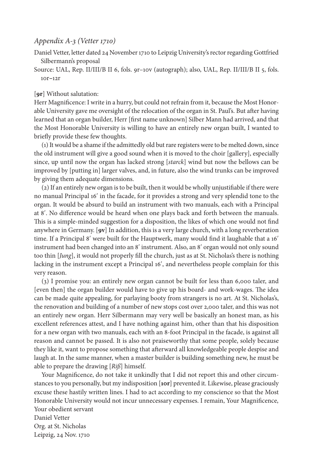## *Appendix A-3 (Vetter 1710)*

Daniel Vetter, letter dated 24 November 1710 to Leipzig University's rector regarding Gottfried Silbermann's proposal

Source: UAL, Rep. II/III/B II 6, fols. 9r–10v (autograph); also, UAL, Rep. II/III/B II 5, fols. 10r**–**12r

## [**9r**] Without salutation:

Herr Magnificence: I write in a hurry, but could not refrain from it, because the Most Honorable University gave me oversight of the relocation of the organ in St. Paul's. But after having learned that an organ builder, Herr [first name unknown] Silber Mann had arrived, and that the Most Honorable University is willing to have an entirely new organ built, I wanted to briefly provide these few thoughts.

(1) It would be a shame if the admittedly old but rare registers were to be melted down, since the old instrument will give a good sound when it is moved to the choir [gallery], especially since, up until now the organ has lacked strong [*starck*] wind but now the bellows can be improved by [putting in] larger valves, and, in future, also the wind trunks can be improved by giving them adequate dimensions.

(2) If an entirely new organ is to be built, then it would be wholly unjustifiable if there were no manual Principal 16ʹ in the facade, for it provides a strong and very splendid tone to the organ. It would be absurd to build an instrument with two manuals, each with a Principal at 8ʹ. No difference would be heard when one plays back and forth between the manuals. This is a simple-minded suggestion for a disposition, the likes of which one would not find anywhere in Germany. [**9v**] In addition, this is a very large church, with a long reverberation time. If a Principal 8ʹ were built for the Hauptwerk, many would find it laughable that a 16ʹ instrument had been changed into an 8ʹ instrument. Also, an 8ʹ organ would not only sound too thin [*Jung*], it would not properly fill the church, just as at St. Nicholas's there is nothing lacking in the instrument except a Principal 16ʹ, and nevertheless people complain for this very reason.

(3) I promise you: an entirely new organ cannot be built for less than 6,000 taler, and [even then] the organ builder would have to give up his board- and work-wages. The idea can be made quite appealing, for parlaying booty from strangers is no art. At St. Nicholas's, the renovation and building of a number of new stops cost over 2,000 taler, and this was not an entirely new organ. Herr Silbermann may very well be basically an honest man, as his excellent references attest, and I have nothing against him, other than that his disposition for a new organ with two manuals, each with an 8-foot Principal in the facade, is against all reason and cannot be passed. It is also not praiseworthy that some people, solely because they like it, want to propose something that afterward all knowledgeable people despise and laugh at. In the same manner, when a master builder is building something new, he must be able to prepare the drawing [*Riß*] himself.

Your Magnificence, do not take it unkindly that I did not report this and other circumstances to you personally, but my indisposition [**10r**] prevented it. Likewise, please graciously excuse these hastily written lines. I had to act according to my conscience so that the Most Honorable University would not incur unnecessary expenses. I remain, Your Magnificence, Your obedient servant Daniel Vetter Org. at St. Nicholas

Leipzig, 24 Nov. 1710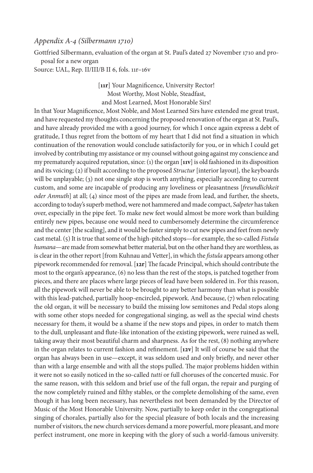## *Appendix A-4 (Silbermann 1710)*

Gottfried Silbermann, evaluation of the organ at St. Paul's dated 27 November 1710 and proposal for a new organ

Source: UAL, Rep. II/III/B II 6, fols. 11r–16v

[**11r**] Your Magnificence, University Rector! Most Worthy, Most Noble, Steadfast, and Most Learned, Most Honorable Sirs!

In that Your Magnificence, Most Noble, and Most Learned Sirs have extended me great trust, and have requested my thoughts concerning the proposed renovation of the organ at St. Paul's, and have already provided me with a good journey, for which I once again express a debt of gratitude, I thus regret from the bottom of my heart that I did not find a situation in which continuation of the renovation would conclude satisfactorily for you, or in which I could get involved by contributing my assistance or my counsel without going against my conscience and my prematurely acquired reputation, since: (1) the organ [**11v**] is old fashioned in its disposition and its voicing; (2) if built according to the proposed *Structur* [interior layout], the keyboards will be unplayable; (3) not one single stop is worth anything, especially according to current custom, and some are incapable of producing any loveliness or pleasantness [*freundlichkeit oder Anmuth*] at all; (4) since most of the pipes are made from lead, and further, the sheets, according to today's superb method, were not hammered and made compact, *Salpeter* has taken over, especially in the pipe feet. To make new feet would almost be more work than building entirely new pipes, because one would need to cumbersomely determine the circumference and the center [the scaling], and it would be faster simply to cut new pipes and feet from newly cast metal. (5) It is true that some of the high-pitched stops—for example, the so-called *Fistula humana*—are made from somewhat better material, but on the other hand they are worthless, as is clear in the other report [from Kuhnau and Vetter], in which the *fistula* appears among other pipework recommended for removal. [**12r**] The facade Principal, which should contribute the most to the organ's appearance, (6) no less than the rest of the stops, is patched together from pieces, and there are places where large pieces of lead have been soldered in. For this reason, all the pipework will never be able to be brought to any better harmony than what is possible with this lead-patched, partially hoop-encircled, pipework. And because, (7) when relocating the old organ, it will be necessary to build the missing low semitones and Pedal stops along with some other stops needed for congregational singing, as well as the special wind chests necessary for them, it would be a shame if the new stops and pipes, in order to match them to the dull, unpleasant and flute-like intonation of the existing pipework, were ruined as well, taking away their most beautiful charm and sharpness. As for the rest, (8) nothing anywhere in the organ relates to current fashion and refinement. [**12v**] It will of course be said that the organ has always been in use—except, it was seldom used and only briefly, and never other than with a large ensemble and with all the stops pulled. The major problems hidden within it were not so easily noticed in the so-called *tutti* or full choruses of the concerted music. For the same reason, with this seldom and brief use of the full organ, the repair and purging of the now completely ruined and filthy stables, or the complete demolishing of the same, even though it has long been necessary, has nevertheless not been demanded by the Director of Music of the Most Honorable University. Now, partially to keep order in the congregational singing of chorales, partially also for the special pleasure of both locals and the increasing number of visitors, the new church services demand a more powerful, more pleasant, and more perfect instrument, one more in keeping with the glory of such a world-famous university.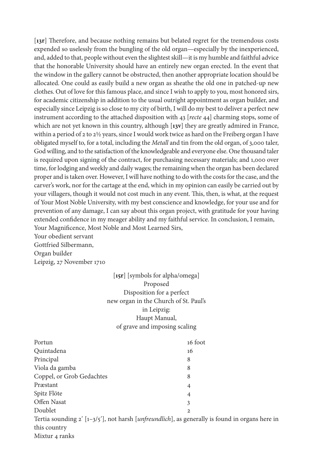[**13r**] Therefore, and because nothing remains but belated regret for the tremendous costs expended so uselessly from the bungling of the old organ—especially by the inexperienced, and, added to that, people without even the slightest skill—it is my humble and faithful advice that the honorable University should have an entirely new organ erected. In the event that the window in the gallery cannot be obstructed, then another appropriate location should be allocated. One could as easily build a new organ as sheathe the old one in patched-up new clothes. Out of love for this famous place, and since I wish to apply to you, most honored sirs, for academic citizenship in addition to the usual outright appointment as organ builder, and especially since Leipzig is so close to my city of birth, I will do my best to deliver a perfect new instrument according to the attached disposition with 43 [*recte* 44] charming stops, some of which are not yet known in this country, although [**13v**] they are greatly admired in France, within a period of 2 to 2½ years, since I would work twice as hard on the Freiberg organ I have obligated myself to, for a total, including the *Metall* and tin from the old organ, of 3,000 taler, God willing, and to the satisfaction of the knowledgeable and everyone else. One thousand taler is required upon signing of the contract, for purchasing necessary materials; and 1,000 over time, for lodging and weekly and daily wages; the remaining when the organ has been declared proper and is taken over. However, I will have nothing to do with the costs for the case, and the carver's work, nor for the cartage at the end, which in my opinion can easily be carried out by your villagers, though it would not cost much in any event. This, then, is what, at the request of Your Most Noble University, with my best conscience and knowledge, for your use and for prevention of any damage, I can say about this organ project, with gratitude for your having extended confidence in my meager ability and my faithful service. In conclusion, I remain, Your Magnificence, Most Noble and Most Learned Sirs, Your obedient servant Gottfried Silbermann, Organ builder Leipzig, 27 November 1710

> [**15r**] [symbols for alpha/omega] Proposed Disposition for a perfect new organ in the Church of St. Paul's in Leipzig: Haupt Manual, of grave and imposing scaling

| 16 foot                                                                                                   |
|-----------------------------------------------------------------------------------------------------------|
| 16                                                                                                        |
| 8                                                                                                         |
| 8                                                                                                         |
| 8                                                                                                         |
| 4                                                                                                         |
| 4                                                                                                         |
| 3                                                                                                         |
| $\mathbf{2}$                                                                                              |
| Tertia sounding $2'$ [1-3/5'], not harsh [ <i>unfreundlich</i> ], as generally is found in organs here in |
|                                                                                                           |

this country

Mixtur 4 ranks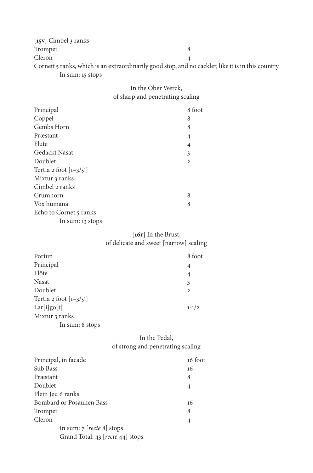| [ $15v$ ] Cimbel 3 ranks |                                                                                                    |
|--------------------------|----------------------------------------------------------------------------------------------------|
| Trompet                  |                                                                                                    |
| Cleron                   |                                                                                                    |
|                          | Cornett 5 ranks, which is an extraordinarily good stop, and no cackler, like it is in this country |
| In sum: 15 stops         |                                                                                                    |

# In the Ober Werck, of sharp and penetrating scaling

| 8 foot       |
|--------------|
| 8            |
| 8            |
| 4            |
| 4            |
| 3            |
| $\mathbf{2}$ |
|              |
|              |
|              |
| 8            |
| 8            |
|              |
|              |
|              |

# [**16r**] In the Brust, of delicate and sweet [narrow] scaling

| Portun                              | 8 foot         |
|-------------------------------------|----------------|
| Principal                           | 4              |
| Flöte                               | $\overline{4}$ |
| Nasat                               | 3              |
| Doublet                             | $\mathbf{2}$   |
| Tertia 2 foot $\left[1-3/5'\right]$ |                |
| Lar[i]go[t]                         | $1 - 1/2$      |
| Mixtur 3 ranks                      |                |
| In sum: 8 stops                     |                |

# In the Pedal, of strong and penetrating scaling

| Principal, in facade             | 16 foot |
|----------------------------------|---------|
| Sub Bass                         | 16      |
| Præstant                         | 8       |
| Doublet                          | 4       |
| Plein Jeu 6 ranks                |         |
| Bombard or Posaunen Bass         | 16      |
| Trompet                          | 8       |
| Cleron                           | 4       |
| In sum: $7$ [recte 8] stops      |         |
| Grand Total: 43 [recte 44] stops |         |
|                                  |         |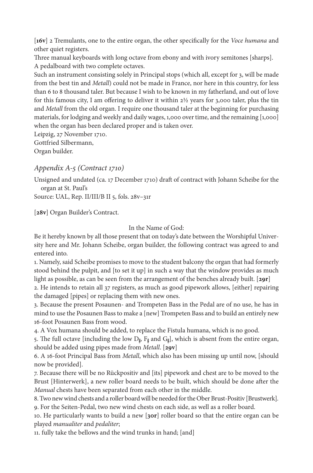[**16v**] 2 Tremulants, one to the entire organ, the other specifically for the *Voce humana* and other quiet registers.

Three manual keyboards with long octave from ebony and with ivory semitones [sharps]. A pedalboard with two complete octaves.

Such an instrument consisting solely in Principal stops (which all, except for 3, will be made from the best tin and *Metall*) could not be made in France, nor here in this country, for less than 6 to 8 thousand taler. But because I wish to be known in my fatherland, and out of love for this famous city, I am offering to deliver it within  $2\frac{1}{2}$  years for 3,000 taler, plus the tin and *Metall* from the old organ. I require one thousand taler at the beginning for purchasing materials, for lodging and weekly and daily wages, 1,000 over time, and the remaining [1,000] when the organ has been declared proper and is taken over.

Leipzig, 27 November 1710. Gottfried Silbermann, Organ builder.

# *Appendix A-5 (Contract 1710)*

Unsigned and undated (ca. 17 December 1710) draft of contract with Johann Scheibe for the organ at St. Paul's

Source: UAL, Rep. II/III/B II 5, fols. 28v–31r

[**28v**] Organ Builder's Contract.

## In the Name of God:

Be it hereby known by all those present that on today's date between the Worshipful University here and Mr. Johann Scheibe, organ builder, the following contract was agreed to and entered into.

1. Namely, said Scheibe promises to move to the student balcony the organ that had formerly stood behind the pulpit, and [to set it up] in such a way that the window provides as much light as possible, as can be seen from the arrangement of the benches already built. [**29r**]

2. He intends to retain all 37 registers, as much as good pipework allows, [either] repairing the damaged [pipes] or replacing them with new ones.

3. Because the present Posaunen- and Trompeten Bass in the Pedal are of no use, he has in mind to use the Posaunen Bass to make a [new] Trompeten Bass and to build an entirely new 16-foot Posaunen Bass from wood.

4. A Vox humana should be added, to replace the Fistula humana, which is no good.

5. The full octave [including the low  $D_{\sharp}$ ,  $F_{\sharp}$  and  $G_{\sharp}$ ], which is absent from the entire organ, should be added using pipes made from *Metall*. [**29v**]

6. A 16-foot Principal Bass from *Metall*, which also has been missing up until now, [should now be provided].

7. Because there will be no Rückpositiv and [its] pipework and chest are to be moved to the Brust [Hinterwerk], a new roller board needs to be built, which should be done after the *Manual* chests have been separated from each other in the middle.

8. Two new wind chests and a roller board will be needed for the Ober Brust-Positiv [Brustwerk]*.* 9. For the Seiten-Pedal, two new wind chests on each side, as well as a roller board.

10. He particularly wants to build a new [**30r**] roller board so that the entire organ can be played *manualiter* and *pedaliter*;

11. fully take the bellows and the wind trunks in hand; [and]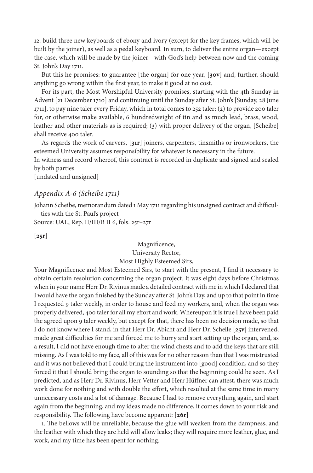12. build three new keyboards of ebony and ivory (except for the key frames, which will be built by the joiner), as well as a pedal keyboard. In sum, to deliver the entire organ—except the case, which will be made by the joiner—with God's help between now and the coming St. John's Day 1711.

But this he promises: to guarantee [the organ] for one year, [**30v**] and, further, should anything go wrong within the first year, to make it good at no cost.

For its part, the Most Worshipful University promises, starting with the 4th Sunday in Advent [21 December 1710] and continuing until the Sunday after St. John's [Sunday, 28 June 1711], to pay nine taler every Friday, which in total comes to 252 taler; (2) to provide 200 taler for, or otherwise make available, 6 hundredweight of tin and as much lead, brass, wood, leather and other materials as is required; (3) with proper delivery of the organ, [Scheibe] shall receive 400 taler.

As regards the work of carvers, [**31r**] joiners, carpenters, tinsmiths or ironworkers, the esteemed University assumes responsibility for whatever is necessary in the future.

In witness and record whereof, this contract is recorded in duplicate and signed and sealed by both parties.

[undated and unsigned]

## *Appendix A-6 (Scheibe 1711)*

Johann Scheibe, memorandum dated 1 May 1711 regarding his unsigned contract and difficulties with the St. Paul's project

Source: UAL, Rep. II/III/B II 6, fols. 25r–27r

[**25r**]

## Magnificence, University Rector, Most Highly Esteemed Sirs,

Your Magnificence and Most Esteemed Sirs, to start with the present, I find it necessary to obtain certain resolution concerning the organ project. It was eight days before Christmas when in your name Herr Dr. Rivinus made a detailed contract with me in which I declared that I would have the organ finished by the Sunday after St. John's Day, and up to that point in time I requested 9 taler weekly, in order to house and feed my workers, and, when the organ was properly delivered, 400 taler for all my effort and work. Whereupon it is true I have been paid the agreed upon 9 taler weekly, but except for that, there has been no decision made, so that I do not know where I stand, in that Herr Dr. Abicht and Herr Dr. Schelle [**25v**] intervened, made great difficulties for me and forced me to hurry and start setting up the organ, and, as a result, I did not have enough time to alter the wind chests and to add the keys that are still missing. As I was told to my face, all of this was for no other reason than that I was mistrusted and it was not believed that I could bring the instrument into [good] condition, and so they forced it that I should bring the organ to sounding so that the beginning could be seen. As I predicted, and as Herr Dr. Rivinus, Herr Vetter and Herr Hüffner can attest, there was much work done for nothing and with double the effort, which resulted at the same time in many unnecessary costs and a lot of damage. Because I had to remove everything again, and start again from the beginning, and my ideas made no difference, it comes down to your risk and responsibility. The following have become apparent: [**26r**]

1. The bellows will be unreliable, because the glue will weaken from the dampness, and the leather with which they are held will allow leaks; they will require more leather, glue, and work, and my time has been spent for nothing.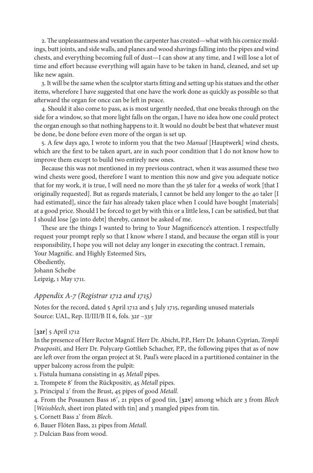2. The unpleasantness and vexation the carpenter has created—what with his cornice moldings, butt joints, and side walls, and planes and wood shavings falling into the pipes and wind chests, and everything becoming full of dust—I can show at any time, and I will lose a lot of time and effort because everything will again have to be taken in hand, cleaned, and set up like new again.

3. It will be the same when the sculptor starts fitting and setting up his statues and the other items, wherefore I have suggested that one have the work done as quickly as possible so that afterward the organ for once can be left in peace.

4. Should it also come to pass, as is most urgently needed, that one breaks through on the side for a window, so that more light falls on the organ, I have no idea how one could protect the organ enough so that nothing happens to it. It would no doubt be best that whatever must be done, be done before even more of the organ is set up.

5. A few days ago, I wrote to inform you that the two *Manual* [Hauptwerk] wind chests, which are the first to be taken apart, are in such poor condition that I do not know how to improve them except to build two entirely new ones.

Because this was not mentioned in my previous contract, when it was assumed these two wind chests were good, therefore I want to mention this now and give you adequate notice that for my work, it is true, I will need no more than the 36 taler for 4 weeks of work [that I originally requested]. But as regards materials, I cannot be held any longer to the 40 taler [I had estimated], since the fair has already taken place when I could have bought [materials] at a good price. Should I be forced to get by with this or a little less, I can be satisfied, but that I should lose [go into debt] thereby, cannot be asked of me.

These are the things I wanted to bring to Your Magnificence's attention. I respectfully request your prompt reply so that I know where I stand, and because the organ still is your responsibility, I hope you will not delay any longer in executing the contract. I remain, Your Magnific. and Highly Esteemed Sirs,

Obediently, Johann Scheibe Leipzig, 1 May 1711.

## *Appendix A-7 (Registrar 1712 and 1715)*

Notes for the record, dated 5 April 1712 and 5 July 1715, regarding unused materials Source: UAL, Rep. II/III/B II 6, fols. 32r -33r

## [**32r**] 5 April 1712

In the presence of Herr Rector Magnif. Herr Dr. Abicht, P.P., Herr Dr. Johann Cyprian, *Templi Praepositi*, and Herr Dr. Polycarp Gottlieb Schacher, P.P., the following pipes that as of now are left over from the organ project at St. Paul's were placed in a partitioned container in the upper balcony across from the pulpit:

- 1. Fistula humana consisting in 45 *Metall* pipes*.*
- 2. Trompete 8ʹ from the Rückpositiv, 45 *Metall* pipes.
- 3. Principal 2ʹ from the Brust, 45 pipes of good *Metall.*
- 4. From the Posaunen Bass 16ʹ, 21 pipes of good tin, [**32v**] among which are 3 from *Blech*  [*Weissblech*, sheet iron plated with tin] and 3 mangled pipes from tin.
- 5. Cornett Bass 2ʹ from *Blech*.
- 6. Bauer Flöten Bass, 21 pipes from *Metall.*
- 7. Dulcian Bass from wood.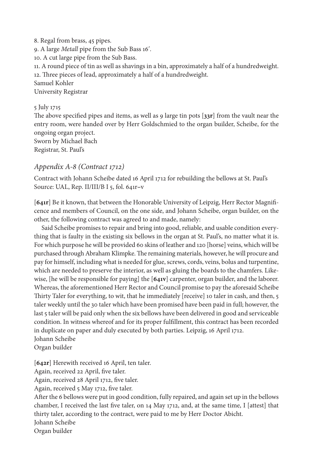8. Regal from brass, 45 pipes. 9. A large *Metall* pipe from the Sub Bass 16ʹ*.* 10. A cut large pipe from the Sub Bass. 11. A round piece of tin as well as shavings in a bin, approximately a half of a hundredweight. 12. Three pieces of lead, approximately a half of a hundredweight. Samuel Kohler University Registrar

# 5 July 1715

The above specified pipes and items, as well as 9 large tin pots [**33r**] from the vault near the entry room, were handed over by Herr Goldschmied to the organ builder, Scheibe, for the ongoing organ project. Sworn by Michael Bach Registrar, St. Paul's

## *Appendix A-8 (Contract 1712)*

Contract with Johann Scheibe dated 16 April 1712 for rebuilding the bellows at St. Paul's Source: UAL, Rep. II/III/B I 5, fol. 641r**–**v

[**641r**] Be it known, that between the Honorable University of Leipzig, Herr Rector Magnificence and members of Council, on the one side, and Johann Scheibe, organ builder, on the other, the following contract was agreed to and made, namely:

Said Scheibe promises to repair and bring into good, reliable, and usable condition everything that is faulty in the existing six bellows in the organ at St. Paul's, no matter what it is. For which purpose he will be provided 60 skins of leather and 120 [horse] veins, which will be purchased through Abraham Klimpke. The remaining materials, however, he will procure and pay for himself, including what is needed for glue, screws, cords, veins, bolus and turpentine, which are needed to preserve the interior, as well as gluing the boards to the chamfers. Likewise, [he will be responsible for paying] the [**641v**] carpenter, organ builder, and the laborer. Whereas, the aforementioned Herr Rector and Council promise to pay the aforesaid Scheibe Thirty Taler for everything, to wit, that he immediately [receive] 10 taler in cash, and then, 5 taler weekly until the 30 taler which have been promised have been paid in full; however, the last 5 taler will be paid only when the six bellows have been delivered in good and serviceable condition. In witness whereof and for its proper fulfillment, this contract has been recorded in duplicate on paper and duly executed by both parties. Leipzig, 16 April 1712. Johann Scheibe

Organ builder

[**642r**] Herewith received 16 April, ten taler.

Again, received 22 April, five taler.

Again, received 28 April 1712, five taler.

Again, received 5 May 1712, five taler.

After the 6 bellows were put in good condition, fully repaired, and again set up in the bellows chamber, I received the last five taler, on 14 May 1712, and, at the same time, I [attest] that thirty taler, according to the contract, were paid to me by Herr Doctor Abicht. Johann Scheibe Organ builder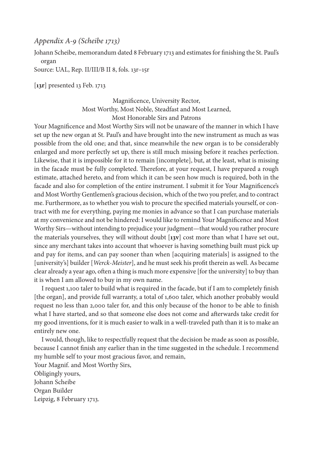## *Appendix A-9 (Scheibe 1713)*

Johann Scheibe, memorandum dated 8 February 1713 and estimates for finishing the St. Paul's organ

Source: UAL, Rep. II/III/B II 8, fols. 13r–15r

[**13r**] presented 13 Feb. 1713

Magnificence, University Rector, Most Worthy, Most Noble, Steadfast and Most Learned, Most Honorable Sirs and Patrons

Your Magnificence and Most Worthy Sirs will not be unaware of the manner in which I have set up the new organ at St. Paul's and have brought into the new instrument as much as was possible from the old one; and that, since meanwhile the new organ is to be considerably enlarged and more perfectly set up, there is still much missing before it reaches perfection. Likewise, that it is impossible for it to remain [incomplete], but, at the least, what is missing in the facade must be fully completed. Therefore, at your request, I have prepared a rough estimate, attached hereto, and from which it can be seen how much is required, both in the facade and also for completion of the entire instrument. I submit it for Your Magnificence's and Most Worthy Gentlemen's gracious decision, which of the two you prefer, and to contract me. Furthermore, as to whether you wish to procure the specified materials yourself, or contract with me for everything, paying me monies in advance so that I can purchase materials at my convenience and not be hindered: I would like to remind Your Magnificence and Most Worthy Sirs—without intending to prejudice your judgment—that would you rather procure the materials yourselves, they will without doubt [**13v**] cost more than what I have set out, since any merchant takes into account that whoever is having something built must pick up and pay for items, and can pay sooner than when [acquiring materials] is assigned to the [university's] builder [*Werck-Meister*], and he must seek his profit therein as well. As became clear already a year ago, often a thing is much more expensive [for the university] to buy than it is when I am allowed to buy in my own name.

I request 1,100 taler to build what is required in the facade, but if I am to completely finish [the organ], and provide full warranty, a total of 1,600 taler, which another probably would request no less than 2,000 taler for, and this only because of the honor to be able to finish what I have started, and so that someone else does not come and afterwards take credit for my good inventions, for it is much easier to walk in a well-traveled path than it is to make an entirely new one.

I would, though, like to respectfully request that the decision be made as soon as possible, because I cannot finish any earlier than in the time suggested in the schedule. I recommend my humble self to your most gracious favor, and remain,

Your Magnif. and Most Worthy Sirs, Obligingly yours, Johann Scheibe Organ Builder Leipzig, 8 February 1713.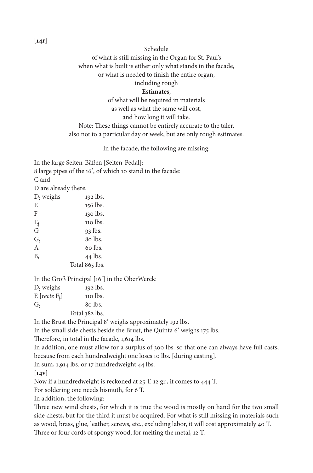Schedule

of what is still missing in the Organ for St. Paul's

when what is built is either only what stands in the facade,

or what is needed to finish the entire organ,

including rough

## **Estimates**,

of what will be required in materials

as well as what the same will cost,

and how long it will take.

Note: These things cannot be entirely accurate to the taler, also not to a particular day or week, but are only rough estimates.

In the facade, the following are missing:

In the large Seiten-Bäßen [Seiten-Pedal]:

8 large pipes of the 16ʹ, of which 10 stand in the facade:

C and

D are already there.

| $D_{\sharp}$ weighs   | 192 lbs.       |
|-----------------------|----------------|
| E                     | 156 lbs.       |
| F                     | 130 lbs.       |
| $F_{\sharp}$          | 110 lbs.       |
| G                     | $93$ lbs.      |
| $\mathrm{G}_{\sharp}$ | 80 lbs.        |
| A                     | 60 lbs.        |
| B,                    | 44 lbs.        |
|                       | Total 865 lbs. |

In the Groß Principal [16ʹ] in the OberWerck:

| $D_{\sharp}$ weighs   | 192 lbs.       |
|-----------------------|----------------|
| $E[recte F_{\sharp}]$ | 110 lbs.       |
| $G_{\sharp}$          | 80 lbs.        |
|                       | Total 382 lbs. |

In the Brust the Principal 8ʹ weighs approximately 192 lbs.

In the small side chests beside the Brust, the Quinta 6ʹ weighs 175 lbs.

Therefore, in total in the facade, 1,614 lbs.

In addition, one must allow for a surplus of 300 lbs. so that one can always have full casts, because from each hundredweight one loses 10 lbs. [during casting].

In sum, 1,914 lbs. or 17 hundredweight 44 lbs.

[**14v**]

Now if a hundredweight is reckoned at 25 T. 12 gr., it comes to 444 T.

For soldering one needs bismuth, for 6 T.

In addition, the following:

Three new wind chests, for which it is true the wood is mostly on hand for the two small side chests, but for the third it must be acquired. For what is still missing in materials such as wood, brass, glue, leather, screws, etc., excluding labor, it will cost approximately 40 T. Three or four cords of spongy wood, for melting the metal, 12 T.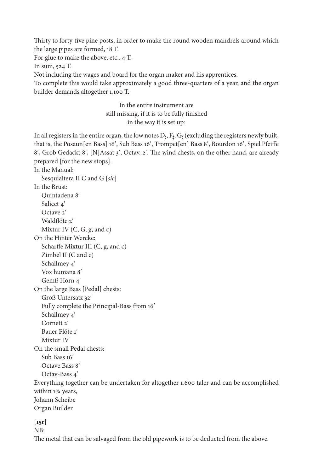Thirty to forty-five pine posts, in order to make the round wooden mandrels around which the large pipes are formed, 18 T.

For glue to make the above, etc., 4 T.

In sum, 524 T.

Not including the wages and board for the organ maker and his apprentices.

To complete this would take approximately a good three-quarters of a year, and the organ builder demands altogether 1,100 T.

> In the entire instrument are still missing, if it is to be fully finished in the way it is set up:

In all registers in the entire organ, the low notes  $D_{\sharp}$ ,  $F_{\sharp}$ ,  $G_{\sharp}$  (excluding the registers newly built, that is, the Posaun[en Bass] 16ʹ, Sub Bass 16ʹ, Trompet[en] Bass 8ʹ, Bourdon 16ʹ, Spiel Pfeiffe 8ʹ, Grob Gedackt 8ʹ, [N]Assat 3ʹ, Octav. 2ʹ. The wind chests, on the other hand, are already prepared [for the new stops].

In the Manual:

Sesquialtera II C and G [*sic*] In the Brust: Quintadena 8ʹ Salicet 4ʹ Octave 2ʹ Waldflöte 2ʹ Mixtur IV  $(C, G, g, and c)$ On the Hinter Wercke: Scharffe Mixtur III (C, g, and c) Zimbel II (C and c) Schallmey 4ʹ Vox humana 8ʹ Gemß Horn 4ʹ On the large Bass [Pedal] chests: Groß Untersatz 32ʹ Fully complete the Principal-Bass from 16ʹ Schallmey 4ʹ Cornett<sub>2</sub>' Bauer Flöte 1ʹ Mixtur IV On the small Pedal chests: Sub Bass 16ʹ Octave Bass 8ʹ Octav-Bass 4ʹ Everything together can be undertaken for altogether 1,600 taler and can be accomplished within 1¾ years, Johann Scheibe Organ Builder

[**15r**]

NB:

The metal that can be salvaged from the old pipework is to be deducted from the above.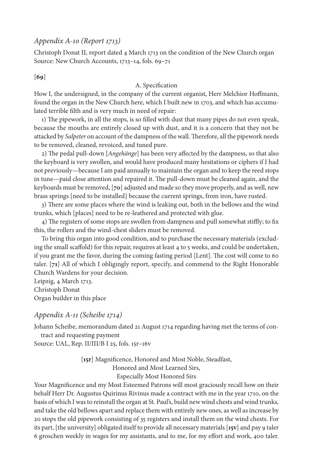## *Appendix A-10 (Report 1713)*

Christoph Donat II, report dated 4 March 1713 on the condition of the New Church organ Source: New Church Accounts, 1713–14, fols. 69–71

## [**69**]

## A. Specification

How I, the undersigned, in the company of the current organist, Herr Melchior Hoffmann, found the organ in the New Church here, which I built new in 1703, and which has accumulated terrible filth and is very much in need of repair:

1) The pipework, in all the stops, is so filled with dust that many pipes do not even speak, because the mouths are entirely closed up with dust, and it is a concern that they not be attacked by *Salpeter* on account of the dampness of the wall. Therefore, all the pipework needs to be removed, cleaned, revoiced, and tuned pure.

2) The pedal pull-down [*Angehänge*] has been very affected by the dampness, so that also the keyboard is very swollen, and would have produced many hesitations or ciphers if I had not previously—because I am paid annually to maintain the organ and to keep the reed stops in tune—paid close attention and repaired it. The pull-down must be cleaned again, and the keyboards must be removed, [**70**] adjusted and made so they move properly, and as well, new brass springs [need to be installed] because the current springs, from iron, have rusted.

3) There are some places where the wind is leaking out, both in the bellows and the wind trunks, which [places] need to be re-leathered and protected with glue.

4) The registers of some stops are swollen from dampness and pull somewhat stiffly; to fix this, the rollers and the wind-chest sliders must be removed.

To bring this organ into good condition, and to purchase the necessary materials (excluding the small scaffold) for this repair, requires at least 4 to 5 weeks, and could be undertaken, if you grant me the favor, during the coming fasting period [Lent]. The cost will come to 60 taler. [**71**] All of which I obligingly report, specify, and commend to the Right Honorable Church Wardens for your decision.

Leipzig, 4 March 1713. Christoph Donat Organ builder in this place

# *Appendix A-11 (Scheibe 1714)*

Johann Scheibe, memorandum dated 21 August 1714 regarding having met the terms of contract and requesting payment

Source: UAL, Rep. II/III/B I 25, fols. 15r–16v

[**15r**] Magnificence, Honored and Most Noble, Steadfast, Honored and Most Learned Sirs, Especially Most Honored Sirs

Your Magnificence and my Most Esteemed Patrons will most graciously recall how on their behalf Herr Dr. Augustus Quirinus Rivinus made a contract with me in the year 1710, on the basis of which I was to reinstall the organ at St. Paul's, build new wind chests and wind trunks*,*  and take the old bellows apart and replace them with entirely new ones, as well as increase by 20 stops the old pipework consisting of 35 registers and install them on the wind chests. For its part, [the university] obligated itself to provide all necessary materials [**15v**] and pay 9 taler 6 groschen weekly in wages for my assistants, and to me, for my effort and work, 400 taler.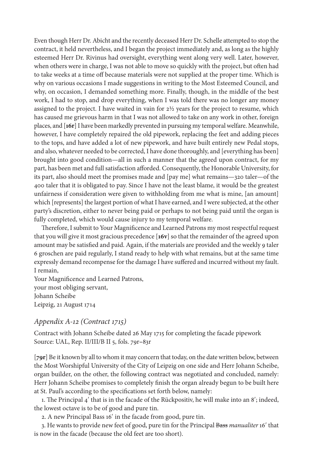Even though Herr Dr. Abicht and the recently deceased Herr Dr. Schelle attempted to stop the contract, it held nevertheless, and I began the project immediately and, as long as the highly esteemed Herr Dr. Rivinus had oversight, everything went along very well. Later, however, when others were in charge, I was not able to move so quickly with the project, but often had to take weeks at a time off because materials were not supplied at the proper time. Which is why on various occasions I made suggestions in writing to the Most Esteemed Council, and why, on occasion, I demanded something more. Finally, though, in the middle of the best work, I had to stop, and drop everything, when I was told there was no longer any money assigned to the project. I have waited in vain for 2½ years for the project to resume, which has caused me grievous harm in that I was not allowed to take on any work in other, foreign places, and [**16r**] I have been markedly prevented in pursuing my temporal welfare. Meanwhile, however, I have completely repaired the old pipework, replacing the feet and adding pieces to the tops, and have added a lot of new pipework, and have built entirely new Pedal stops, and also, whatever needed to be corrected, I have done thoroughly, and [everything has been] brought into good condition—all in such a manner that the agreed upon contract, for my part, has been met and full satisfaction afforded. Consequently, the Honorable University, for its part, also should meet the promises made and [pay me] what remains—320 taler—of the 400 taler that it is obligated to pay. Since I have not the least blame, it would be the greatest unfairness if consideration were given to withholding from me what is mine, [an amount] which [represents] the largest portion of what I have earned, and I were subjected, at the other party's discretion, either to never being paid or perhaps to not being paid until the organ is fully completed, which would cause injury to my temporal welfare.

Therefore, I submit to Your Magnificence and Learned Patrons my most respectful request that you will give it most gracious precedence [**16v**] so that the remainder of the agreed upon amount may be satisfied and paid. Again, if the materials are provided and the weekly 9 taler 6 groschen are paid regularly, I stand ready to help with what remains, but at the same time expressly demand recompense for the damage I have suffered and incurred without my fault. I remain,

Your Magnificence and Learned Patrons, your most obliging servant, Johann Scheibe Leipzig, 21 August 1714

# *Appendix A-12 (Contract 1715)*

Contract with Johann Scheibe dated 26 May 1715 for completing the facade pipework Source: UAL, Rep. II/III/B II 5, fols. 79r**–**83r

[**79r**] Be it known by all to whom it may concern that today, on the date written below, between the Most Worshipful University of the City of Leipzig on one side and Herr Johann Scheibe, organ builder, on the other, the following contract was negotiated and concluded, namely: Herr Johann Scheibe promises to completely finish the organ already begun to be built here at St. Paul's according to the specifications set forth below, namely:

1. The Principal 4ʹ that is in the facade of the Rückpositiv, he will make into an 8ʹ; indeed, the lowest octave is to be of good and pure tin.

2. A new Principal Bass 16ʹ in the facade from good, pure tin.

3. He wants to provide new feet of good, pure tin for the Principal Bass *manualiter* 16ʹ that is now in the facade (because the old feet are too short).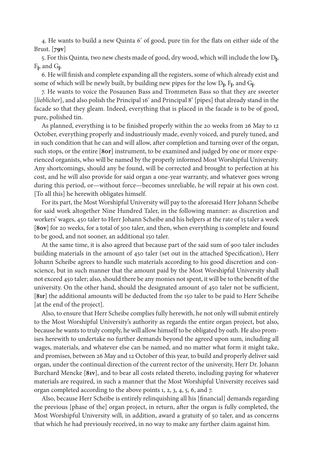4. He wants to build a new Quinta 6ʹ of good, pure tin for the flats on either side of the Brust. [**79v**]

5. For this Quinta, two new chests made of good, dry wood, which will include the low D<sub>k</sub>,  $F_{\sharp}$ , and  $G_{\sharp}$ .

6. He will finish and complete expanding all the registers, some of which already exist and some of which will be newly built, by building new pipes for the low  $D_{\sharp}$ ,  $F_{\sharp}$ , and  $G_{\sharp}$ .

7. He wants to voice the Posaunen Bass and Trommeten Bass so that they are sweeter [*lieblicher*], and also polish the Principal 16ʹ and Principal 8ʹ [pipes] that already stand in the facade so that they gleam. Indeed, everything that is placed in the facade is to be of good, pure, polished tin.

As planned, everything is to be finished properly within the 20 weeks from 26 May to 12 October, everything properly and industriously made, evenly voiced, and purely tuned, and in such condition that he can and will allow, after completion and turning over of the organ, such stops, or the entire [**80r**] instrument, to be examined and judged by one or more experienced organists, who will be named by the properly informed Most Worshipful University. Any shortcomings, should any be found, will be corrected and brought to perfection at his cost, and he will also provide for said organ a one-year warranty, and whatever goes wrong during this period, or—without force—becomes unreliable, he will repair at his own cost. [To all this] he herewith obligates himself.

For its part, the Most Worshipful University will pay to the aforesaid Herr Johann Scheibe for said work altogether Nine Hundred Taler, in the following manner: as discretion and workers' wages, 450 taler to Herr Johann Scheibe and his helpers at the rate of 15 taler a week [**80v**] for 20 weeks, for a total of 300 taler, and then, when everything is complete and found to be good, and not sooner, an additional 150 taler.

At the same time, it is also agreed that because part of the said sum of 900 taler includes building materials in the amount of 450 taler (set out in the attached Specification), Herr Johann Scheibe agrees to handle such materials according to his good discretion and conscience, but in such manner that the amount paid by the Most Worshipful University shall not exceed 450 taler; also, should there be any monies not spent, it will be to the benefit of the university. On the other hand, should the designated amount of 450 taler not be sufficient, [**81r**] the additional amounts will be deducted from the 150 taler to be paid to Herr Scheibe [at the end of the project].

Also, to ensure that Herr Scheibe complies fully herewith, he not only will submit entirely to the Most Worshipful University's authority as regards the entire organ project, but also, because he wants to truly comply, he will allow himself to be obligated by oath. He also promises herewith to undertake no further demands beyond the agreed upon sum, including all wages, materials, and whatever else can be named, and no matter what form it might take, and promises, between 26 May and 12 October of this year, to build and properly deliver said organ, under the continual direction of the current rector of the university, Herr Dr. Johann Burchard Mencke [**81v**], and to bear all costs related thereto, including paying for whatever materials are required, in such a manner that the Most Worshipful University receives said organ completed according to the above points 1, 2, 3, 4, 5, 6, and 7.

Also, because Herr Scheibe is entirely relinquishing all his [financial] demands regarding the previous [phase of the] organ project, in return, after the organ is fully completed, the Most Worshipful University will, in addition, award a gratuity of 50 taler, and as concerns that which he had previously received, in no way to make any further claim against him.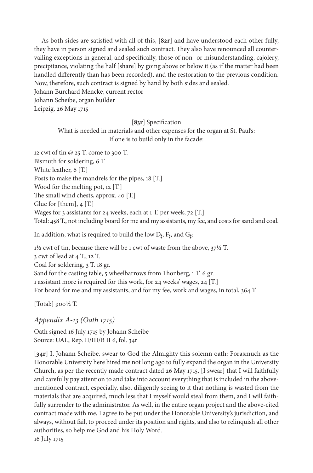As both sides are satisfied with all of this, [**82r**] and have understood each other fully, they have in person signed and sealed such contract. They also have renounced all countervailing exceptions in general, and specifically, those of non- or misunderstanding, cajolery, precipitance, violating the half [share] by going above or below it (as if the matter had been handled differently than has been recorded), and the restoration to the previous condition. Now, therefore, such contract is signed by hand by both sides and sealed.

Johann Burchard Mencke, current rector

Johann Scheibe, organ builder Leipzig, 26 May 1715

## [**83r**] Specification

What is needed in materials and other expenses for the organ at St. Paul's: If one is to build only in the facade:

12 cwt of tin @ 25 T. come to 300 T. Bismuth for soldering, 6 T. White leather, 6 [T.] Posts to make the mandrels for the pipes, 18 [T.] Wood for the melting pot, 12 [T.] The small wind chests, approx. 40 [T.] Glue for [them],  $4$  [T.] Wages for 3 assistants for 24 weeks, each at 1 T. per week, 72 [T.] Total: 458 T., not including board for me and my assistants, my fee, and costs for sand and coal.

In addition, what is required to build the low  $D_{\sharp}$ ,  $F_{\sharp}$ , and  $G_{\sharp}$ :

1½ cwt of tin, because there will be 1 cwt of waste from the above, 37½ T. 3 cwt of lead at 4 T., 12 T. Coal for soldering, 3 T. 18 gr. Sand for the casting table, 5 wheelbarrows from Thonberg, 1 T. 6 gr. 1 assistant more is required for this work, for 24 weeks' wages, 24 [T.] For board for me and my assistants, and for my fee, work and wages, in total, 364 T.

[Total:] 900½ T.

*Appendix A-13 (Oath 1715)*

Oath signed 16 July 1715 by Johann Scheibe Source: UAL, Rep. II/III/B II 6, fol. 34r

[**34r**] I, Johann Scheibe, swear to God the Almighty this solemn oath: Forasmuch as the Honorable University here hired me not long ago to fully expand the organ in the University Church, as per the recently made contract dated 26 May 1715, [I swear] that I will faithfully and carefully pay attention to and take into account everything that is included in the abovementioned contract, especially, also, diligently seeing to it that nothing is wasted from the materials that are acquired, much less that I myself would steal from them, and I will faithfully surrender to the administrator. As well, in the entire organ project and the above-cited contract made with me, I agree to be put under the Honorable University's jurisdiction, and always, without fail, to proceed under its position and rights, and also to relinquish all other authorities, so help me God and his Holy Word. 16 July 1715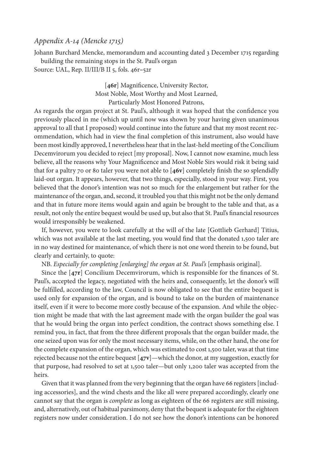## *Appendix A-14 (Mencke 1715)*

Johann Burchard Mencke, memorandum and accounting dated 3 December 1715 regarding building the remaining stops in the St. Paul's organ Source: UAL, Rep. II/III/B II 5, fols. 46r**–**52r

> [46r] Magnificence, University Rector, Most Noble, Most Worthy and Most Learned, Particularly Most Honored Patrons,

As regards the organ project at St. Paul's, although it was hoped that the confidence you previously placed in me (which up until now was shown by your having given unanimous approval to all that I proposed) would continue into the future and that my most recent recommendation, which had in view the final completion of this instrument, also would have been most kindly approved, I nevertheless hear that in the last-held meeting of the Concilium Decemvirorum you decided to reject [my proposal]. Now, I cannot now examine, much less believe, all the reasons why Your Magnificence and Most Noble Sirs would risk it being said that for a paltry 70 or 80 taler you were not able to [**46v**] completely finish the so splendidly laid-out organ. It appears, however, that two things, especially, stood in your way. First, you believed that the donor's intention was not so much for the enlargement but rather for the maintenance of the organ, and, second, it troubled you that this might not be the only demand and that in future more items would again and again be brought to the table and that, as a result, not only the entire bequest would be used up, but also that St. Paul's financial resources would irresponsibly be weakened.

If, however, you were to look carefully at the will of the late [Gottlieb Gerhard] Titius, which was not available at the last meeting, you would find that the donated 1,500 taler are in no way destined for maintenance, of which there is not one word therein to be found, but clearly and certainly, to quote:

NB. *Especially for completing [enlarging] the organ at St. Paul's* [emphasis original].

Since the [**47r**] Concilium Decemvirorum, which is responsible for the finances of St. Paul's, accepted the legacy, negotiated with the heirs and, consequently, let the donor's will be fulfilled, according to the law, Council is now obligated to see that the entire bequest is used only for expansion of the organ, and is bound to take on the burden of maintenance itself, even if it were to become more costly because of the expansion. And while the objection might be made that with the last agreement made with the organ builder the goal was that he would bring the organ into perfect condition, the contract shows something else. I remind you, in fact, that from the three different proposals that the organ builder made, the one seized upon was for only the most necessary items, while, on the other hand, the one for the complete expansion of the organ, which was estimated to cost 1,500 taler, was at that time rejected because not the entire bequest [**47v**]—which the donor, at my suggestion, exactly for that purpose, had resolved to set at 1,500 taler—but only 1,200 taler was accepted from the heirs.

Given that it was planned from the very beginning that the organ have 66 registers [including accessories], and the wind chests and the like all were prepared accordingly, clearly one cannot say that the organ is *complete* as long as eighteen of the 66 registers are still missing, and, alternatively, out of habitual parsimony, deny that the bequest is adequate for the eighteen registers now under consideration. I do not see how the donor's intentions can be honored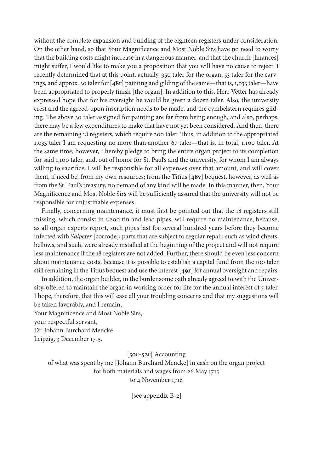without the complete expansion and building of the eighteen registers under consideration. On the other hand, so that Your Magnificence and Most Noble Sirs have no need to worry that the building costs might increase in a dangerous manner, and that the church [finances] might suffer, I would like to make you a proposition that you will have no cause to reject. I recently determined that at this point, actually, 950 taler for the organ, 53 taler for the carvings, and approx. 30 taler for [**48r**] painting and gilding of the same—that is, 1,033 taler—have been appropriated to properly finish [the organ]. In addition to this, Herr Vetter has already expressed hope that for his oversight he would be given a dozen taler. Also, the university crest and the agreed-upon inscription needs to be made, and the cymbelstern requires gilding. The above 30 taler assigned for painting are far from being enough, and also, perhaps, there may be a few expenditures to make that have not yet been considered. And then, there are the remaining 18 registers, which require 200 taler. Thus, in addition to the appropriated 1,033 taler I am requesting no more than another 67 taler—that is, in total, 1,100 taler. At the same time, however, I hereby pledge to bring the entire organ project to its completion for said 1,100 taler, and, out of honor for St. Paul's and the university, for whom I am always willing to sacrifice, I will be responsible for all expenses over that amount, and will cover them, if need be, from my own resources; from the Titius [**48v**] bequest, however, as well as from the St. Paul's treasury, no demand of any kind will be made. In this manner, then, Your Magnificence and Most Noble Sirs will be sufficiently assured that the university will not be responsible for unjustifiable expenses.

Finally, concerning maintenance, it must first be pointed out that the 18 registers still missing, which consist in 1,200 tin and lead pipes, will require no maintenance, because, as all organ experts report, such pipes last for several hundred years before they become infected with *Salpeter* [corrode]; parts that are subject to regular repair, such as wind chests, bellows, and such, were already installed at the beginning of the project and will not require less maintenance if the 18 registers are not added. Further, there should be even less concern about maintenance costs, because it is possible to establish a capital fund from the 100 taler still remaining in the Titius bequest and use the interest [**49r**] for annual oversight and repairs.

In addition, the organ builder, in the burdensome oath already agreed to with the University, offered to maintain the organ in working order for life for the annual interest of 5 taler. I hope, therefore, that this will ease all your troubling concerns and that my suggestions will be taken favorably, and I remain,

Your Magnificence and Most Noble Sirs, your respectful servant,

Dr. Johann Burchard Mencke

Leipzig, 3 December 1715.

[**50r–52r**] Accounting

of what was spent by me [Johann Burchard Mencke] in cash on the organ project for both materials and wages from 26 May 1715 to 4 November 1716

[see appendix B-2]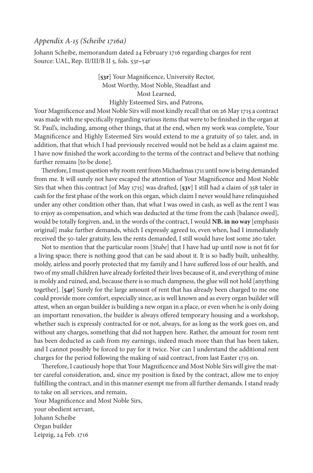## *Appendix A-15 (Scheibe 1716a)*

Johann Scheibe, memorandum dated 24 February 1716 regarding charges for rent Source: UAL, Rep. II/III/B II 5, fols. 53r**–**54r

> [**53r**] Your Magnificence, University Rector, Most Worthy, Most Noble, Steadfast and Most Learned, Highly Esteemed Sirs, and Patrons,

Your Magnificence and Most Noble Sirs will most kindly recall that on 26 May 1715 a contract was made with me specifically regarding various items that were to be finished in the organ at St. Paul's, including, among other things, that at the end, when my work was complete, Your Magnificence and Highly Esteemed Sirs would extend to me a gratuity of 50 taler, and, in addition, that that which I had previously received would not be held as a claim against me. I have now finished the work according to the terms of the contract and believe that nothing further remains [to be done].

Therefore, I must question why room rent from Michaelmas 1711 until now is being demanded from me. It will surely not have escaped the attention of Your Magnificence and Most Noble Sirs that when this contract [of May 1715] was drafted, [**53v**] I still had a claim of 358 taler in cash for the first phase of the work on this organ, which claim I never would have relinquished under any other condition other than, that what I was owed in cash, as well as the rent I was to enjoy as compensation, and which was deducted at the time from the cash [balance owed], would be totally forgiven, and, in the words of the contract, I would **NB. in no way** [emphasis original] make further demands, which I expressly agreed to, even when, had I immediately received the 50-taler gratuity, less the rents demanded, I still would have lost some 260 taler.

Not to mention that the particular room [*Stube*] that I have had up until now is not fit for a living space; there is nothing good that can be said about it. It is so badly built, unhealthy, moldy, airless and poorly protected that my family and I have suffered loss of our health, and two of my small children have already forfeited their lives because of it, and everything of mine is moldy and ruined, and, because there is so much dampness, the glue will not hold [anything together]. [**54r**] Surely for the large amount of rent that has already been charged to me one could provide more comfort, especially since, as is well known and as every organ builder will attest, when an organ builder is building a new organ in a place, or even when he is only doing an important renovation, the builder is always offered temporary housing and a workshop, whether such is expressly contracted for or not, always, for as long as the work goes on, and without any charges, something that did not happen here. Rather, the amount for room rent has been deducted as cash from my earnings, indeed much more than that has been taken, and I cannot possibly be forced to pay for it twice. Nor can I understand the additional rent charges for the period following the making of said contract, from last Easter 1715 on.

Therefore, I cautiously hope that Your Magnificence and Most Noble Sirs will give the matter careful consideration, and, since my position is fixed by the contract, allow me to enjoy fulfilling the contract, and in this manner exempt me from all further demands. I stand ready to take on all services, and remain,

Your Magnificence and Most Noble Sirs, your obedient servant, Johann Scheibe Organ builder Leipzig, 24 Feb. 1716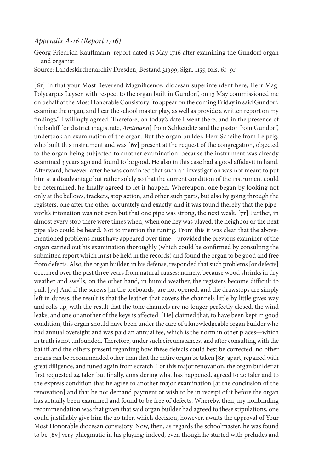## *Appendix A-16 (Report 1716)*

Georg Friedrich Kauffmann, report dated 15 May 1716 after examining the Gundorf organ and organist

Source: Landeskirchenarchiv Dresden, Bestand 31999, Sign. 1155, fols. 6r–9r

[**6r**] In that your Most Reverend Magnificence, diocesan superintendent here, Herr Mag. Polycarpus Leyser, with respect to the organ built in Gundorf, on 13 May commissioned me on behalf of the Most Honorable Consistory "to appear on the coming Friday in said Gundorf, examine the organ, and hear the school master play, as well as provide a written report on my findings," I willingly agreed. Therefore, on today's date I went there, and in the presence of the bailiff [or district magistrate, *Amtmann*] from Schkeuditz and the pastor from Gundorf, undertook an examination of the organ. But the organ builder, Herr Scheibe from Leipzig, who built this instrument and was [**6v**] present at the request of the congregation, objected to the organ being subjected to another examination, because the instrument was already examined 3 years ago and found to be good. He also in this case had a good affidavit in hand. Afterward, however, after he was convinced that such an investigation was not meant to put him at a disadvantage but rather solely so that the current condition of the instrument could be determined, he finally agreed to let it happen. Whereupon, one began by looking not only at the bellows, trackers, stop action, and other such parts, but also by going through the registers, one after the other, accurately and exactly, and it was found thereby that the pipework's intonation was not even but that one pipe was strong, the next weak. [**7r**] Further, in almost every stop there were times when, when one key was played, the neighbor or the next pipe also could be heard. Not to mention the tuning. From this it was clear that the abovementioned problems must have appeared over time—provided the previous examiner of the organ carried out his examination thoroughly (which could be confirmed by consulting the submitted report which must be held in the records) and found the organ to be good and free from defects. Also, the organ builder, in his defense, responded that such problems [or defects] occurred over the past three years from natural causes; namely, because wood shrinks in dry weather and swells, on the other hand, in humid weather, the registers become difficult to pull. [**7v**] And if the screws [in the toeboards] are not opened, and the drawstops are simply left in duress, the result is that the leather that covers the channels little by little gives way and rolls up, with the result that the tone channels are no longer perfectly closed, the wind leaks, and one or another of the keys is affected. [He] claimed that, to have been kept in good condition, this organ should have been under the care of a knowledgeable organ builder who had annual oversight and was paid an annual fee, which is the norm in other places—which in truth is not unfounded. Therefore, under such circumstances, and after consulting with the bailiff and the others present regarding how these defects could best be corrected, no other means can be recommended other than that the entire organ be taken [**8r**] apart, repaired with great diligence, and tuned again from scratch. For this major renovation, the organ builder at first requested 24 taler, but finally, considering what has happened, agreed to 20 taler and to the express condition that he agree to another major examination [at the conclusion of the renovation] and that he not demand payment or wish to be in receipt of it before the organ has actually been examined and found to be free of defects. Whereby, then, my nonbinding recommendation was that given that said organ builder had agreed to these stipulations, one could justifiably give him the 20 taler, which decision, however, awaits the approval of Your Most Honorable diocesan consistory. Now, then, as regards the schoolmaster, he was found to be [**8v**] very phlegmatic in his playing; indeed, even though he started with preludes and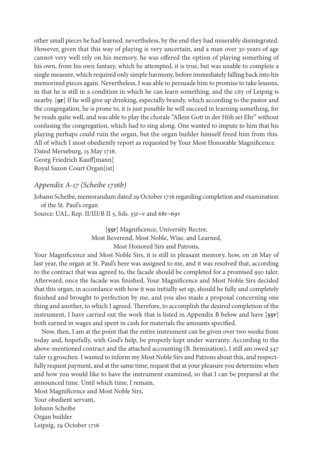other small pieces he had learned, nevertheless, by the end they had miserably disintegrated. However, given that this way of playing is very uncertain, and a man over 30 years of age cannot very well rely on his memory, he was offered the option of playing something of his own, from his own fantasy, which he attempted, it is true, but was unable to complete a single measure, which required only simple harmony, before immediately falling back into his memorized pieces again. Nevertheless, I was able to persuade him to promise to take lessons, in that he is still in a condition in which he can learn something, and the city of Leipzig is nearby. [**9r**] If he will give up drinking, especially brandy, which according to the pastor and the congregation, he is prone to, it is just possible he will succeed in learning something, for he reads quite well, and was able to play the chorale "Allein Gott in der Höh sei Ehr" without confusing the congregation, which had to sing along. One wanted to impute to him that his playing perhaps could ruin the organ, but the organ builder himself freed him from this. All of which I most obediently report as requested by Your Most Honorable Magnificence. Dated Merseburg, 15 May 1716.

Georg Friedrich Kauff[mann] Royal Saxon Court Organ[ist]

## *Appendix A-17 (Scheibe 1716b)*

Johann Scheibe, memorandum dated 29 October 1716 regarding completion and examination of the St. Paul's organ

Source: UAL, Rep. II/III/B II 5, fols. 55r**–**v and 68r**–**69v

[**55r**] Magnificence, University Rector, Most Reverend, Most Noble, Wise, and Learned, Most Honored Sirs and Patrons,

Your Magnificence and Most Noble Sirs, it is still in pleasant memory, how, on 26 May of last year, the organ at St. Paul's here was assigned to me, and it was resolved that, according to the contract that was agreed to, the facade should be completed for a promised 950 taler. Afterward, once the facade was finished, Your Magnificence and Most Noble Sirs decided that this organ, in accordance with how it was initially set up, should be fully and completely finished and brought to perfection by me, and you also made a proposal concerning one thing and another, to which I agreed. Therefore, to accomplish the desired completion of the instrument, I have carried out the work that is listed in Appendix B below and have [**55v**] both earned in wages and spent in cash for materials the amounts specified.

Now, then, I am at the point that the entire instrument can be given over two weeks from today and, hopefully, with God's help, be properly kept under warranty. According to the above-mentioned contract and the attached accounting (B. Itemization), I still am owed 347 taler 13 groschen. I wanted to inform my Most Noble Sirs and Patrons about this, and respectfully request payment, and at the same time, request that at your pleasure you determine when and how you would like to have the instrument examined, so that I can be prepared at the announced time. Until which time, I remain,

Most Magnificence and Most Noble Sirs, Your obedient servant,

Johann Scheibe

Organ builder Leipzig, 29 October 1716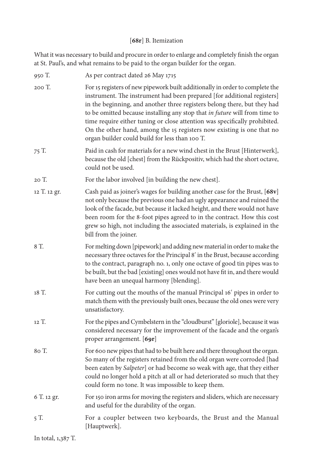# [**68r**] B. Itemization

What it was necessary to build and procure in order to enlarge and completely finish the organ at St. Paul's, and what remains to be paid to the organ builder for the organ.

| 950 T.       | As per contract dated 26 May 1715                                                                                                                                                                                                                                                                                                                                                                                                                                                                                          |
|--------------|----------------------------------------------------------------------------------------------------------------------------------------------------------------------------------------------------------------------------------------------------------------------------------------------------------------------------------------------------------------------------------------------------------------------------------------------------------------------------------------------------------------------------|
| 200 T.       | For 15 registers of new pipework built additionally in order to complete the<br>instrument. The instrument had been prepared [for additional registers]<br>in the beginning, and another three registers belong there, but they had<br>to be omitted because installing any stop that in future will from time to<br>time require either tuning or close attention was specifically prohibited.<br>On the other hand, among the 15 registers now existing is one that no<br>organ builder could build for less than 100 T. |
| 75 T.        | Paid in cash for materials for a new wind chest in the Brust [Hinterwerk],<br>because the old [chest] from the Rückpositiv, which had the short octave,<br>could not be used.                                                                                                                                                                                                                                                                                                                                              |
| 20 T.        | For the labor involved [in building the new chest].                                                                                                                                                                                                                                                                                                                                                                                                                                                                        |
| 12 T. 12 gr. | Cash paid as joiner's wages for building another case for the Brust, [68v]<br>not only because the previous one had an ugly appearance and ruined the<br>look of the facade, but because it lacked height, and there would not have<br>been room for the 8-foot pipes agreed to in the contract. How this cost<br>grew so high, not including the associated materials, is explained in the<br>bill from the joiner.                                                                                                       |
| 8 T.         | For melting down [pipework] and adding new material in order to make the<br>necessary three octaves for the Principal 8' in the Brust, because according<br>to the contract, paragraph no. 1, only one octave of good tin pipes was to<br>be built, but the bad [existing] ones would not have fit in, and there would<br>have been an unequal harmony [blending].                                                                                                                                                         |
| 18 T.        | For cutting out the mouths of the manual Principal 16' pipes in order to<br>match them with the previously built ones, because the old ones were very<br>unsatisfactory.                                                                                                                                                                                                                                                                                                                                                   |
| 12 T.        | For the pipes and Cymbelstern in the "cloudburst" [gloriole], because it was<br>considered necessary for the improvement of the facade and the organ's<br>proper arrangement. [69r]                                                                                                                                                                                                                                                                                                                                        |
| 80 T.        | For 600 new pipes that had to be built here and there throughout the organ.<br>So many of the registers retained from the old organ were corroded [had<br>been eaten by Salpeter] or had become so weak with age, that they either<br>could no longer hold a pitch at all or had deteriorated so much that they<br>could form no tone. It was impossible to keep them.                                                                                                                                                     |
| 6 T. 12 gr.  | For 150 iron arms for moving the registers and sliders, which are necessary<br>and useful for the durability of the organ.                                                                                                                                                                                                                                                                                                                                                                                                 |
| 5 T.         | For a coupler between two keyboards, the Brust and the Manual<br>[Hauptwerk].                                                                                                                                                                                                                                                                                                                                                                                                                                              |

In total, 1,387 T.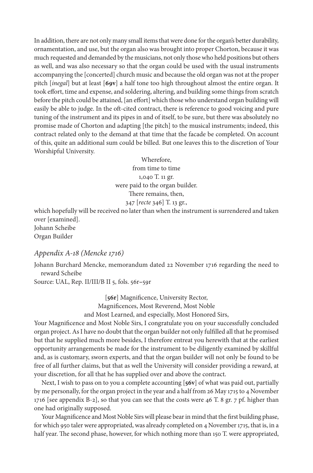In addition, there are not only many small items that were done for the organ's better durability, ornamentation, and use, but the organ also was brought into proper Chorton, because it was much requested and demanded by the musicians, not only those who held positions but others as well, and was also necessary so that the organ could be used with the usual instruments accompanying the [concerted] church music and because the old organ was not at the proper pitch [*inegal*] but at least [**69v**] a half tone too high throughout almost the entire organ. It took effort, time and expense, and soldering, altering, and building some things from scratch before the pitch could be attained, [an effort] which those who understand organ building will easily be able to judge. In the oft-cited contract, there is reference to good voicing and pure tuning of the instrument and its pipes in and of itself, to be sure, but there was absolutely no promise made of Chorton and adapting [the pitch] to the musical instruments; indeed, this contract related only to the demand at that time that the facade be completed. On account of this, quite an additional sum could be billed. But one leaves this to the discretion of Your Worshipful University.

> Wherefore, from time to time 1,040 T. 11 gr. were paid to the organ builder. There remains, then, 347 [*recte* 346] T. 13 gr.,

which hopefully will be received no later than when the instrument is surrendered and taken over [examined]. Johann Scheibe

Organ Builder

# *Appendix A-18 (Mencke 1716)*

Johann Burchard Mencke, memorandum dated 22 November 1716 regarding the need to reward Scheibe

Source: UAL, Rep. II/III/B II 5, fols. 56r**–**59r

[**56r**] Magnificence, University Rector, Magnificences, Most Reverend, Most Noble and Most Learned, and especially, Most Honored Sirs,

Your Magnificence and Most Noble Sirs, I congratulate you on your successfully concluded organ project. As I have no doubt that the organ builder not only fulfilled all that he promised but that he supplied much more besides, I therefore entreat you herewith that at the earliest opportunity arrangements be made for the instrument to be diligently examined by skillful and, as is customary, sworn experts, and that the organ builder will not only be found to be free of all further claims, but that as well the University will consider providing a reward, at your discretion, for all that he has supplied over and above the contract.

Next, I wish to pass on to you a complete accounting [**56v**] of what was paid out, partially by me personally, for the organ project in the year and a half from 26 May 1715 to 4 November 1716 [see appendix B-2], so that you can see that the costs were 46 T. 8 gr. 7 pf. higher than one had originally supposed.

Your Magnificence and Most Noble Sirs will please bear in mind that the first building phase, for which 950 taler were appropriated, was already completed on 4 November 1715, that is, in a half year. The second phase, however, for which nothing more than 150 T. were appropriated,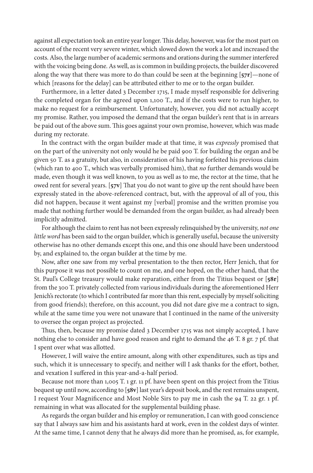against all expectation took an entire year longer. This delay, however, was for the most part on account of the recent very severe winter, which slowed down the work a lot and increased the costs. Also, the large number of academic sermons and orations during the summer interfered with the voicing being done. As well, as is common in building projects, the builder discovered along the way that there was more to do than could be seen at the beginning [**57r**]—none of which [reasons for the delay] can be attributed either to me or to the organ builder.

Furthermore, in a letter dated 3 December 1715, I made myself responsible for delivering the completed organ for the agreed upon 1,100 T., and if the costs were to run higher, to make no request for a reimbursement. Unfortunately, however, you did not actually accept my promise. Rather, you imposed the demand that the organ builder's rent that is in arrears be paid out of the above sum. This goes against your own promise, however, which was made during my rectorate.

In the contract with the organ builder made at that time, it was *expressly* promised that on the part of the university not only would he be paid 900 T. for building the organ and be given 50 T. as a gratuity, but also, in consideration of his having forfeited his previous claim (which ran to 400 T., which was verbally promised him), that *no* further demands would be made, even though it was well known, to you as well as to me, the rector at the time, that he owed rent for several years. [**57v**] That you do not want to give up the rent should have been expressly stated in the above-referenced contract, but, with the approval of all of you, this did not happen, because it went against my [verbal] promise and the written promise you made that nothing further would be demanded from the organ builder, as had already been implicitly admitted.

For although the claim to rent has not been expressly relinquished by the university, *not one little word* has been said to the organ builder, which is generally useful, because the university otherwise has no other demands except this one, and this one should have been understood by, and explained to, the organ builder at the time by me.

Now, after one saw from my verbal presentation to the then rector, Herr Jenich, that for this purpose it was not possible to count on me, and one hoped, on the other hand, that the St. Paul's College treasury would make reparation, either from the Titius bequest or [**58r**] from the 300 T. privately collected from various individuals during the aforementioned Herr Jenich's rectorate (to which I contributed far more than this rent, especially by myself soliciting from good friends); therefore, on this account, you did not dare give me a contract to sign, while at the same time you were not unaware that I continued in the name of the university to oversee the organ project as projected.

Thus, then, because my promise dated 3 December 1715 was not simply accepted, I have nothing else to consider and have good reason and right to demand the 46 T. 8 gr. 7 pf. that I spent over what was allotted.

However, I will waive the entire amount, along with other expenditures, such as tips and such, which it is unnecessary to specify, and neither will I ask thanks for the effort, bother, and vexation I suffered in this year-and-a-half period.

Because not more than 1,005 T. 1 gr. 11 pf. have been spent on this project from the Titius bequest up until now, according to [**58v**] last year's deposit book, and the rest remains unspent, I request Your Magnificence and Most Noble Sirs to pay me in cash the 94 T. 22 gr. 1 pf. remaining in what was allocated for the supplemental building phase.

As regards the organ builder and his employ or remuneration, I can with good conscience say that I always saw him and his assistants hard at work, even in the coldest days of winter. At the same time, I cannot deny that he always did more than he promised, as, for example,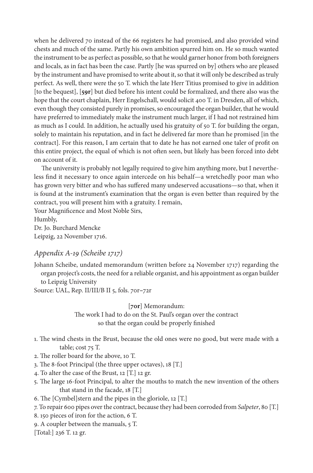when he delivered 70 instead of the 66 registers he had promised, and also provided wind chests and much of the same. Partly his own ambition spurred him on. He so much wanted the instrument to be as perfect as possible, so that he would garner honor from both foreigners and locals, as in fact has been the case. Partly [he was spurred on by] others who are pleased by the instrument and have promised to write about it, so that it will only be described as truly perfect. As well, there were the 50 T. which the late Herr Titius promised to give in addition [to the bequest], [**59r**] but died before his intent could be formalized, and there also was the hope that the court chaplain, Herr Engelschall, would solicit 400 T. in Dresden, all of which, even though they consisted purely in promises, so encouraged the organ builder, that he would have preferred to immediately make the instrument much larger, if I had not restrained him as much as I could. In addition, he actually used his gratuity of 50 T. for building the organ, solely to maintain his reputation, and in fact he delivered far more than he promised [in the contract]. For this reason, I am certain that to date he has not earned one taler of profit on this entire project, the equal of which is not often seen, but likely has been forced into debt on account of it.

The university is probably not legally required to give him anything more, but I nevertheless find it necessary to once again intercede on his behalf—a wretchedly poor man who has grown very bitter and who has suffered many undeserved accusations—so that, when it is found at the instrument's examination that the organ is even better than required by the contract, you will present him with a gratuity. I remain,

Your Magnificence and Most Noble Sirs, Humbly, Dr. Jo. Burchard Mencke Leipzig, 22 November 1716.

## *Appendix A-19 (Scheibe 1717)*

Johann Scheibe, undated memorandum (written before 24 November 1717) regarding the organ project's costs, the need for a reliable organist, and his appointment as organ builder to Leipzig University

Source: UAL, Rep. II/III/B II 5, fols. 70r**–**72r

[**70r**] Memorandum:

The work I had to do on the St. Paul's organ over the contract so that the organ could be properly finished

- 1. The wind chests in the Brust, because the old ones were no good, but were made with a table; cost 75 T.
- 2. The roller board for the above, 10 T.
- 3. The 8-foot Principal (the three upper octaves), 18 [T.]
- 4. To alter the case of the Brust, 12 [T.] 12 gr.
- 5. The large 16-foot Principal, to alter the mouths to match the new invention of the others that stand in the facade, 18 [T.]
- 6. The [Cymbel]stern and the pipes in the gloriole, 12 [T.]
- 7. To repair 600 pipes over the contract, because they had been corroded from *Salpeter*, 80 [T.]
- 8. 150 pieces of iron for the action, 6 T.
- 9. A coupler between the manuals, 5 T.

[Total:] 236 T. 12 gr.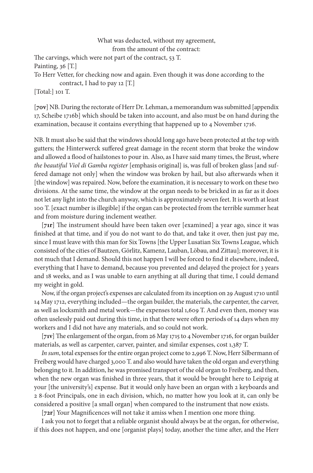#### What was deducted, without my agreement, from the amount of the contract:

The carvings, which were not part of the contract, 53 T.

Painting, 36 [T.]

To Herr Vetter, for checking now and again. Even though it was done according to the

contract, I had to pay 12 [T.]

[Total:] 101 T.

[**70v**] NB. During the rectorate of Herr Dr. Lehman, a memorandum was submitted [appendix 17, Scheibe 1716b] which should be taken into account, and also must be on hand during the examination, because it contains everything that happened up to 4 November 1716.

NB. It must also be said that the windows should long ago have been protected at the top with gutters; the Hinterwerck suffered great damage in the recent storm that broke the window and allowed a flood of hailstones to pour in. Also, as I have said many times, the Brust, where *the beautiful Viol di Gamba register* [emphasis original] is, was full of broken glass [and suffered damage not only] when the window was broken by hail, but also afterwards when it [the window] was repaired. Now, before the examination, it is necessary to work on these two divisions. At the same time, the window at the organ needs to be bricked in as far as it does not let any light into the church anyway, which is approximately seven feet. It is worth at least 100 T. [exact number is illegible] if the organ can be protected from the terrible summer heat and from moisture during inclement weather.

[**71r**] The instrument should have been taken over [examined] a year ago, since it was finished at that time, and if you do not want to do that, and take it over, then just pay me, since I must leave with this man for Six Towns [the Upper Lusatian Six Towns League, which consisted of the cities of Bautzen, Görlitz, Kamenz, Lauban, Löbau, and Zittau]; moreover, it is not much that I demand. Should this not happen I will be forced to find it elsewhere, indeed, everything that I have to demand, because you prevented and delayed the project for 3 years and 18 weeks, and as I was unable to earn anything at all during that time, I could demand my weight in gold.

Now, if the organ project's expenses are calculated from its inception on 29 August 1710 until 14 May 1712, everything included—the organ builder, the materials, the carpenter, the carver, as well as locksmith and metal work—the expenses total 1,609 T. And even then, money was often uselessly paid out during this time, in that there were often periods of 14 days when my workers and I did not have any materials, and so could not work.

[**71v**] The enlargement of the organ, from 26 May 1715 to 4 November 1716, for organ builder materials, as well as carpenter, carver, painter, and similar expenses, cost 1,387 T.

*In sum*, total expenses for the entire organ project come to 2,996 T. Now, Herr Silbermann of Freiberg would have charged 3,000 T. and also would have taken the old organ and everything belonging to it. In addition, he was promised transport of the old organ to Freiberg, and then, when the new organ was finished in three years, that it would be brought here to Leipzig at your [the university's] expense. But it would only have been an organ with 2 keyboards and 2 8-foot Principals, one in each division, which, no matter how you look at it, can only be considered a positive [a small organ] when compared to the instrument that now exists.

[**72r**] Your Magnificences will not take it amiss when I mention one more thing.

I ask you not to forget that a reliable organist should always be at the organ, for otherwise, if this does not happen, and one [organist plays] today, another the time after, and the Herr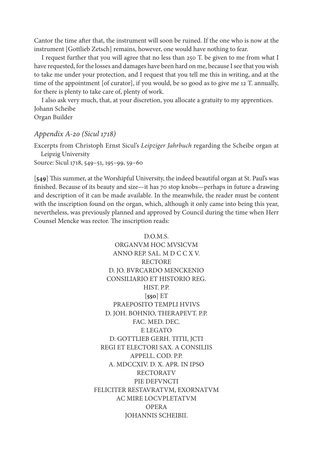Cantor the time after that, the instrument will soon be ruined. If the one who is now at the instrument [Gottlieb Zetsch] remains, however, one would have nothing to fear.

I request further that you will agree that no less than 250 T. be given to me from what I have requested, for the losses and damages have been hard on me, because I see that you wish to take me under your protection, and I request that you tell me this in writing, and at the time of the appointment [of curator], if you would, be so good as to give me 12 T. annually, for there is plenty to take care of, plenty of work.

I also ask very much, that, at your discretion, you allocate a gratuity to my apprentices. Johann Scheibe Organ Builder

#### *Appendix A-20 (Sicul 1718)*

Excerpts from Christoph Ernst Sicul's *Leipziger Jahrbuch* regarding the Scheibe organ at Leipzig University Source: Sicul 1718, 549–51, 195–99, 59–60

[**549**] This summer, at the Worshipful University, the indeed beautiful organ at St. Paul's was finished. Because of its beauty and size—it has 70 stop knobs—perhaps in future a drawing and description of it can be made available. In the meanwhile, the reader must be content with the inscription found on the organ, which, although it only came into being this year, nevertheless, was previously planned and approved by Council during the time when Herr Counsel Mencke was rector. The inscription reads:

> D.O.M.S. ORGANVM HOC MVSICVM ANNO REP. SAL. M D C C X V. RECTORE D. JO. BVRCARDO MENCKENIO CONSILIARIO ET HISTORIO REG. HIST. P.P. [**550**] ET PRAEPOSITO TEMPLI HVIVS D. JOH. BOHNIO, THERAPEVT. P.P. FAC. MED. DEC. E LEGATO D. GOTTLIEB GERH. TITII, JCTI REGI ET ELECTORI SAX. A CONSILIIS APPELL. COD. P.P. A. MDCCXIV. D. X. APR. IN IPSO RECTORATV PIE DEFVNCTI FELICITER RESTAVRATVM, EXORNATVM AC MIRE LOCVPLETATVM OPERA JOHANNIS SCHEIBII.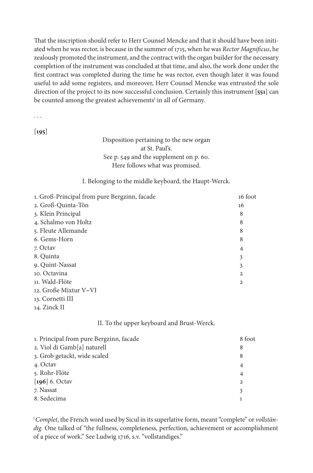That the inscription should refer to Herr Counsel Mencke and that it should have been initiated when he was rector, is because in the summer of 1715, when he was *Rector Magnificus*, he zealously promoted the instrument, and the contract with the organ builder for the necessary completion of the instrument was concluded at that time, and also, the work done under the first contract was completed during the time he was rector, even though later it was found useful to add some registers, and moreover, Herr Counsel Mencke was entrusted the sole direction of the project to its now successful conclusion. Certainly this instrument [**551**] can be counted among the greatest achievements<sup>1</sup> in all of Germany.

. . .

[**195**]

## Disposition pertaining to the new organ at St. Paul's. See p. 549 and the supplement on p. 60. Here follows what was promised.

#### I. Belonging to the middle keyboard, the Haupt-Werck.

| 1. Groß-Principal from pure Bergzinn, facade | 16 foot        |
|----------------------------------------------|----------------|
| 2. Groß-Quinta-Tön                           | 16             |
| 3. Klein Principal                           | 8              |
| 4. Schalmo von Holtz                         | 8              |
| 5. Fleute Allemande                          | 8              |
| 6. Gems-Horn                                 | 8              |
| 7. Octav                                     | $\overline{4}$ |
| 8. Quinta                                    | 3              |
| 9. Quint-Nassat                              | 3              |
| 10. Octavina                                 | $\mathbf{2}$   |
| 11. Wald-Flöte                               | $\mathbf{2}$   |
| 12. Große Mixtur V–VI                        |                |
| 13. Cornetti III                             |                |

14. Zinck II

#### II. To the upper keyboard and Brust-Werck.

| 1. Principal from pure Bergzinn, facade | 8 foot         |
|-----------------------------------------|----------------|
| 2. Viol di Gamb[a] naturell             | 8              |
| 3. Grob getackt, wide scaled            | 8              |
| 4. Octav                                | $\overline{4}$ |
| 5. Rohr-Flöte                           | $\overline{4}$ |
| [ $196$ ] 6. Octav                      | $\overline{2}$ |
| 7. Nassat                               | 3              |
| 8. Sedecima                             |                |

1 *Complet*, the French word used by Sicul in its superlative form, meant "complete" or *vollständig.* One talked of "the fullness, completeness, perfection, achievement or accomplishment of a piece of work." See Ludwig 1716, s.v. "vollstandiges."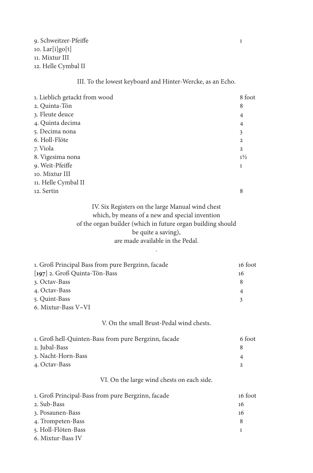## III. To the lowest keyboard and Hinter-Wercke, as an Echo.

| 1. Lieblich getackt from wood | 8 foot         |
|-------------------------------|----------------|
| 2. Quinta-Tön                 | 8              |
| 3. Fleute deuce               | $\overline{4}$ |
| 4. Quinta decima              | $\overline{4}$ |
| 5. Decima nona                | 3              |
| 6. Holl-Flöte                 | $\overline{2}$ |
| 7. Viola                      | $\overline{2}$ |
| 8. Vigesima nona              | $1\frac{1}{2}$ |
| 9. Weit-Pfeiffe               | 1              |
| 10. Mixtur III                |                |
| 11. Helle Cymbal II           |                |
| 12. Sertin                    | 8              |
|                               |                |

IV. Six Registers on the large Manual wind chest which, by means of a new and special invention of the organ builder (which in future organ building should be quite a saving), are made available in the Pedal.

.

| 1. Groß Principal Bass from pure Bergzinn, facade | 16 foot |
|---------------------------------------------------|---------|
| [ $197$ ] 2. Groß Quinta-Tön-Bass                 | 16      |
| 3. Octav-Bass                                     | 8       |
| 4. Octav-Bass                                     | 4       |
| 5. Quint-Bass                                     |         |
| 6. Mixtur-Bass V–VI                               |         |

#### V. On the small Brust-Pedal wind chests.

| 1. Groß hell-Quinten-Bass from pure Bergzinn, facade | 6 foot         |
|------------------------------------------------------|----------------|
| 2. Jubal-Bass                                        |                |
| 3. Nacht-Horn-Bass                                   | $\overline{A}$ |
| 4. Octav-Bass                                        |                |

# VI. On the large wind chests on each side.

| 1. Groß Principal-Bass from pure Bergzinn, facade | 16 foot |
|---------------------------------------------------|---------|
| 2. Sub-Bass                                       | 16      |
| 3. Posaunen-Bass                                  | 16      |
| 4. Trompeten-Bass                                 | 8       |
| 5. Holl-Flöten-Bass                               |         |
| $\epsilon$ Mixture Doop IV                        |         |

6. Mixtur*-*Bass IV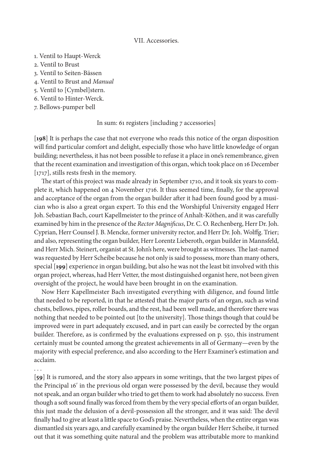#### VII. Accessories.

- 1. Ventil to Haupt-Werck
- 2. Ventil to Brust
- 3. Ventil to Seiten-Bässen
- 4. Ventil to Brust and *Manual*
- 5. Ventil to [Cymbel]stern.
- 6. Ventil to Hinter-Werck.
- 7. Bellows-pumper bell

In sum: 61 registers [including 7 accessories]

[**198**] It is perhaps the case that not everyone who reads this notice of the organ disposition will find particular comfort and delight, especially those who have little knowledge of organ building; nevertheless, it has not been possible to refuse it a place in one's remembrance, given that the recent examination and investigation of this organ, which took place on 16 December [1717], stills rests fresh in the memory.

The start of this project was made already in September 1710, and it took six years to complete it, which happened on 4 November 1716. It thus seemed time, finally, for the approval and acceptance of the organ from the organ builder after it had been found good by a musician who is also a great organ expert. To this end the Worshipful University engaged Herr Joh. Sebastian Bach, court Kapellmeister to the prince of Anhalt-Köthen, and it was carefully examined by him in the presence of the *Rector Magnificus*, Dr. C. O. Rechenberg, Herr Dr. Joh. Cyprian, Herr Counsel J. B. Mencke, former university rector, and Herr Dr. Joh. Wolffg. Trier; and also, representing the organ builder, Herr Lorentz Lieberoth, organ builder in Mannsfeld, and Herr Mich. Steinert, organist at St. John's here, were brought as witnesses. The last-named was requested by Herr Scheibe because he not only is said to possess, more than many others, special [**199**] experience in organ building, but also he was not the least bit involved with this organ project, whereas, had Herr Vetter, the most distinguished organist here, not been given oversight of the project, he would have been brought in on the examination.

Now Herr Kapellmeister Bach investigated everything with diligence, and found little that needed to be reported, in that he attested that the major parts of an organ, such as wind chests, bellows, pipes, roller boards, and the rest, had been well made, and therefore there was nothing that needed to be pointed out [to the university]. Those things though that could be improved were in part adequately excused, and in part can easily be corrected by the organ builder. Therefore, as is confirmed by the evaluations expressed on p. 550, this instrument certainly must be counted among the greatest achievements in all of Germany—even by the majority with especial preference, and also according to the Herr Examiner's estimation and acclaim.

. . .

[**59**] It is rumored, and the story also appears in some writings, that the two largest pipes of the Principal 16ʹ in the previous old organ were possessed by the devil, because they would not speak, and an organ builder who tried to get them to work had absolutely no success. Even though a soft sound finally was forced from them by the very special efforts of an organ builder, this just made the delusion of a devil-possession all the stronger, and it was said: The devil finally had to give at least a little space to God's praise. Nevertheless, when the entire organ was dismantled six years ago, and carefully examined by the organ builder Herr Scheibe, it turned out that it was something quite natural and the problem was attributable more to mankind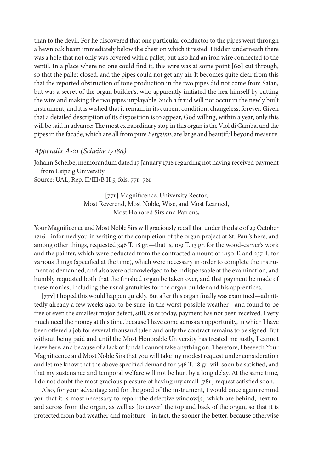than to the devil. For he discovered that one particular conductor to the pipes went through a hewn oak beam immediately below the chest on which it rested. Hidden underneath there was a hole that not only was covered with a pallet, but also had an iron wire connected to the ventil. In a place where no one could find it, this wire was at some point [**60**] cut through, so that the pallet closed, and the pipes could not get any air. It becomes quite clear from this that the reported obstruction of tone production in the two pipes did not come from Satan, but was a secret of the organ builder's, who apparently initiated the hex himself by cutting the wire and making the two pipes unplayable. Such a fraud will not occur in the newly built instrument, and it is wished that it remain in its current condition, changeless, forever. Given that a detailed description of its disposition is to appear, God willing, within a year, only this will be said in advance: The most extraordinary stop in this organ is the Viol di Gamba, and the pipes in the facade, which are all from pure *Bergzinn*, are large and beautiful beyond measure.

## *Appendix A-21 (Scheibe 1718a)*

Johann Scheibe, memorandum dated 17 January 1718 regarding not having received payment from Leipzig University

Source: UAL, Rep. II/III/B II 5, fols. 77r**–**78r

[**77r**] Magnificence, University Rector, Most Reverend, Most Noble, Wise, and Most Learned, Most Honored Sirs and Patrons,

Your Magnificence and Most Noble Sirs will graciously recall that under the date of 29 October 1716 I informed you in writing of the completion of the organ project at St. Paul's here, and among other things, requested 346 T. 18 gr.—that is, 109 T. 13 gr. for the wood-carver's work and the painter, which were deducted from the contracted amount of 1,150 T, and 237 T. for various things (specified at the time), which were necessary in order to complete the instrument as demanded, and also were acknowledged to be indispensable at the examination, and humbly requested both that the finished organ be taken over, and that payment be made of these monies, including the usual gratuities for the organ builder and his apprentices.

[**77v**] I hoped this would happen quickly. But after this organ finally was examined—admittedly already a few weeks ago, to be sure, in the worst possible weather—and found to be free of even the smallest major defect, still, as of today, payment has not been received. I very much need the money at this time, because I have come across an opportunity, in which I have been offered a job for several thousand taler, and only the contract remains to be signed. But without being paid and until the Most Honorable University has treated me justly, I cannot leave here, and because of a lack of funds I cannot take anything on. Therefore, I beseech Your Magnificence and Most Noble Sirs that you will take my modest request under consideration and let me know that the above specified demand for 346 T. 18 gr. will soon be satisfied, and that my sustenance and temporal welfare will not be hurt by a long delay. At the same time, I do not doubt the most gracious pleasure of having my small [**78r**] request satisfied soon.

Also, for your advantage and for the good of the instrument, I would once again remind you that it is most necessary to repair the defective window[s] which are behind, next to, and across from the organ, as well as [to cover] the top and back of the organ, so that it is protected from bad weather and moisture—in fact, the sooner the better, because otherwise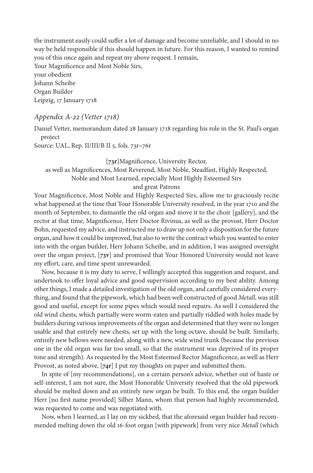the instrument easily could suffer a lot of damage and become unreliable, and I should in no way be held responsible if this should happen in future. For this reason, I wanted to remind you of this once again and repeat my above request. I remain,

Your Magnificence and Most Noble Sirs, your obedient Johann Scheibe Organ Builder Leipzig, 17 January 1718

#### *Appendix A-22 (Vetter 1718)*

Daniel Vetter, memorandum dated 28 January 1718 regarding his role in the St. Paul's organ project

Source: UAL, Rep. II/III/B II 5, fols. 73r**–**76r

#### [**73r**]Magnificence, University Rector,

as well as Magnificences, Most Reverend, Most Noble, Steadfast, Highly Respected, Noble and Most Learned, especially Most Highly Esteemed Sirs

## and great Patrons

Your Magnificence, Most Noble and Highly Respected Sirs, allow me to graciously recite what happened at the time that Your Honorable University resolved, in the year 1710 and the month of September, to dismantle the old organ and move it to the choir [gallery], and the rector at that time, Magnificence, Herr Doctor Rivinus, as well as the provost, Herr Doctor Bohn, requested my advice, and instructed me to draw up not only a disposition for the future organ, and how it could be improved, but also to write the contract which you wanted to enter into with the organ builder, Herr Johann Scheibe, and in addition, I was assigned oversight over the organ project, [**73v**] and promised that Your Honored University would not leave my effort, care, and time spent unrewarded.

Now, because it is my duty to serve, I willingly accepted this suggestion and request, and undertook to offer loyal advice and good supervision according to my best ability. Among other things, I made a detailed investigation of the old organ, and carefully considered everything, and found that the pipework, which had been well constructed of good *Metall*, was still good and useful, except for some pipes which would need repairs. As well I considered the old wind chests, which partially were worm-eaten and partially riddled with holes made by builders during various improvements of the organ and determined that they were no longer usable and that entirely new chests, set up with the long octave, should be built. Similarly, entirely new bellows were needed, along with a new, wide wind trunk (because the previous one in the old organ was far too small, so that the instrument was deprived of its proper tone and strength). As requested by the Most Esteemed Rector Magnificence, as well as Herr Provost, as noted above, [**74r**] I put my thoughts on paper and submitted them.

In spite of [my recommendations], on a certain person's advice, whether out of haste or self-interest, I am not sure, the Most Honorable University resolved that the old pipework should be melted down and an entirely new organ be built. To this end, the organ builder Herr [no first name provided] Silber Mann, whom that person had highly recommended, was requested to come and was negotiated with.

Now, when I learned, as I lay on my sickbed, that the aforesaid organ builder had recommended melting down the old 16-foot organ [with pipework] from very nice *Metall* (which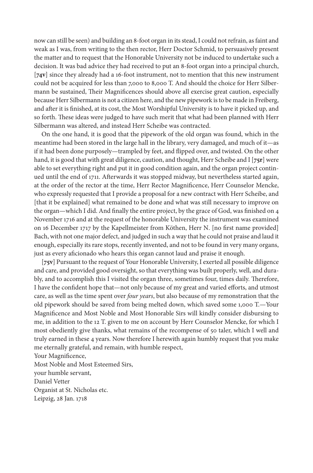now can still be seen) and building an 8-foot organ in its stead, I could not refrain, as faint and weak as I was, from writing to the then rector, Herr Doctor Schmid, to persuasively present the matter and to request that the Honorable University not be induced to undertake such a decision. It was bad advice they had received to put an 8-foot organ into a principal church, [**74v**] since they already had a 16-foot instrument, not to mention that this new instrument could not be acquired for less than 7,000 to 8,000 T. And should the choice for Herr Silbermann be sustained, Their Magnificences should above all exercise great caution, especially because Herr Silbermann is not a citizen here, and the new pipework is to be made in Freiberg, and after it is finished, at its cost, the Most Worshipful University is to have it picked up, and so forth. These ideas were judged to have such merit that what had been planned with Herr Silbermann was altered, and instead Herr Scheibe was contracted.

On the one hand, it is good that the pipework of the old organ was found, which in the meantime had been stored in the large hall in the library, very damaged, and much of it—as if it had been done purposely—trampled by feet, and flipped over, and twisted. On the other hand, it is good that with great diligence, caution, and thought, Herr Scheibe and I [**75r**] were able to set everything right and put it in good condition again, and the organ project continued until the end of 1711. Afterwards it was stopped midway, but nevertheless started again, at the order of the rector at the time, Herr Rector Magnificence, Herr Counselor Mencke, who expressly requested that I provide a proposal for a new contract with Herr Scheibe, and [that it be explained] what remained to be done and what was still necessary to improve on the organ—which I did. And finally the entire project, by the grace of God, was finished on 4 November 1716 and at the request of the honorable University the instrument was examined on 16 December 1717 by the Kapellmeister from Köthen, Herr N. [no first name provided] Bach, with not one major defect, and judged in such a way that he could not praise and laud it enough, especially its rare stops, recently invented, and not to be found in very many organs, just as every aficionado who hears this organ cannot laud and praise it enough.

[**75v**] Pursuant to the request of Your Honorable University, I exerted all possible diligence and care, and provided good oversight, so that everything was built properly, well, and durably, and to accomplish this I visited the organ three, sometimes four, times daily. Therefore, I have the confident hope that—not only because of my great and varied efforts, and utmost care, as well as the time spent over *four years*, but also because of my remonstration that the old pipework should be saved from being melted down, which saved some 1,000 T.—Your Magnificence and Most Noble and Most Honorable Sirs will kindly consider disbursing to me, in addition to the 12 T. given to me on account by Herr Counselor Mencke, for which I most obediently give thanks, what remains of the recompense of 50 taler, which I well and truly earned in these 4 years. Now therefore I herewith again humbly request that you make me eternally grateful, and remain, with humble respect,

Your Magnificence,

Most Noble and Most Esteemed Sirs, your humble servant, Daniel Vetter Organist at St. Nicholas etc. Leipzig, 28 Jan. 1718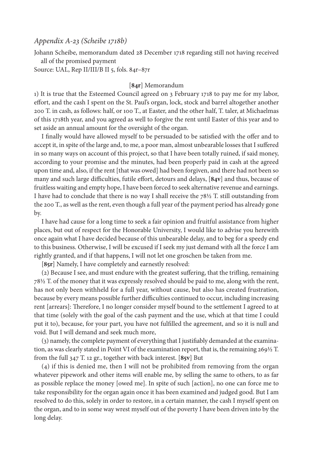## *Appendix A-23 (Scheibe 1718b)*

Johann Scheibe, memorandum dated 28 December 1718 regarding still not having received all of the promised payment

Source: UAL, Rep II/III/B II 5, fols. 84r–87r

#### [**84r**] Memorandum

1) It is true that the Esteemed Council agreed on 3 February 1718 to pay me for my labor, effort, and the cash I spent on the St. Paul's organ, lock, stock and barrel altogether another 200 T. in cash, as follows: half, or 100 T., at Easter, and the other half, T. taler, at Michaelmas of this 1718th year, and you agreed as well to forgive the rent until Easter of this year and to set aside an annual amount for the oversight of the organ.

I finally would have allowed myself to be persuaded to be satisfied with the offer and to accept it, in spite of the large and, to me, a poor man, almost unbearable losses that I suffered in so many ways on account of this project, so that I have been totally ruined, if said money, according to your promise and the minutes, had been properly paid in cash at the agreed upon time and, also, if the rent [that was owed] had been forgiven, and there had not been so many and such large difficulties, futile effort, detours and delays, [**84v**] and thus, because of fruitless waiting and empty hope, I have been forced to seek alternative revenue and earnings. I have had to conclude that there is no way I shall receive the  $78\frac{1}{2}$  T. still outstanding from the 200 T., as well as the rent, even though a full year of the payment period has already gone by.

I have had cause for a long time to seek a fair opinion and fruitful assistance from higher places, but out of respect for the Honorable University, I would like to advise you herewith once again what I have decided because of this unbearable delay, and to beg for a speedy end to this business. Otherwise, I will be excused if I seek my just demand with all the force I am rightly granted, and if that happens, I will not let one groschen be taken from me.

[**85r**] Namely, I have completely and earnestly resolved:

(2) Because I see, and must endure with the greatest suffering, that the trifling, remaining 78½ T. of the money that it was expressly resolved should be paid to me, along with the rent, has not only been withheld for a full year, without cause, but also has created frustration, because by every means possible further difficulties continued to occur, including increasing rent [arrears]: Therefore, I no longer consider myself bound to the settlement I agreed to at that time (solely with the goal of the cash payment and the use, which at that time I could put it to), because, for your part, you have not fulfilled the agreement, and so it is null and void. But I will demand and seek much more,

(3) namely, the complete payment of everything that I justifiably demanded at the examination, as was clearly stated in Point VI of the examination report, that is, the remaining 269½ T. from the full 347 T. 12 gr., together with back interest. [**85v**] But

(4) if this is denied me, then I will not be prohibited from removing from the organ whatever pipework and other items will enable me, by selling the same to others, to as far as possible replace the money [owed me]. In spite of such [action], no one can force me to take responsibility for the organ again once it has been examined and judged good. But I am resolved to do this, solely in order to restore, in a certain manner, the cash I myself spent on the organ, and to in some way wrest myself out of the poverty I have been driven into by the long delay.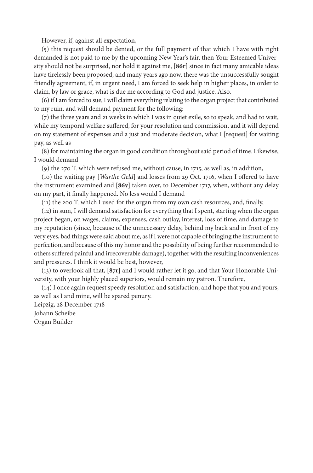However, if, against all expectation,

(5) this request should be denied, or the full payment of that which I have with right demanded is not paid to me by the upcoming New Year's fair, then Your Esteemed University should not be surprised, nor hold it against me, [**86r**] since in fact many amicable ideas have tirelessly been proposed, and many years ago now, there was the unsuccessfully sought friendly agreement, if, in urgent need, I am forced to seek help in higher places, in order to claim, by law or grace, what is due me according to God and justice. Also,

(6) if I am forced to sue, I will claim everything relating to the organ project that contributed to my ruin, and will demand payment for the following:

(7) the three years and 21 weeks in which I was in quiet exile, so to speak, and had to wait, while my temporal welfare suffered, for your resolution and commission, and it will depend on my statement of expenses and a just and moderate decision, what I [request] for waiting pay, as well as

(8) for maintaining the organ in good condition throughout said period of time. Likewise, I would demand

(9) the 270 T. which were refused me, without cause, in 1715, as well as, in addition,

(10) the waiting pay [*Warthe Geld*] and losses from 29 Oct. 1716, when I offered to have the instrument examined and [**86v**] taken over, to December 1717, when, without any delay on my part, it finally happened. No less would I demand

(11) the 200 T. which I used for the organ from my own cash resources, and, finally,

(12) in sum, I will demand satisfaction for everything that I spent, starting when the organ project began, on wages, claims, expenses, cash outlay, interest, loss of time, and damage to my reputation (since, because of the unnecessary delay, behind my back and in front of my very eyes, bad things were said about me, as if I were not capable of bringing the instrument to perfection, and because of this my honor and the possibility of being further recommended to others suffered painful and irrecoverable damage), together with the resulting inconveniences and pressures. I think it would be best, however,

(13) to overlook all that, [**87r**] and I would rather let it go, and that Your Honorable University, with your highly placed superiors, would remain my patron. Therefore,

(14) I once again request speedy resolution and satisfaction, and hope that you and yours, as well as I and mine, will be spared penury.

Leipzig, 28 December 1718 Johann Scheibe

Organ Builder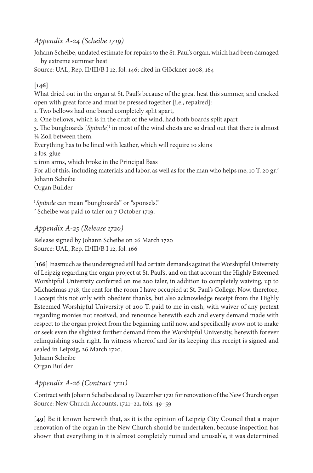# *Appendix A-24 (Scheibe 1719)*

Johann Scheibe, undated estimate for repairs to the St. Paul's organ, which had been damaged by extreme summer heat

Source: UAL, Rep. II/III/B I 12, fol. 146; cited in Glöckner 2008, 164

# **[146]**

What dried out in the organ at St. Paul's because of the great heat this summer, and cracked open with great force and must be pressed together [i.e., repaired]:

1. Two bellows had one board completely split apart,

2. One bellows, which is in the draft of the wind, had both boards split apart

3. The bungboards [Spünde]<sup>1</sup> in most of the wind chests are so dried out that there is almost ¼ Zoll between them.

Everything has to be lined with leather, which will require 10 skins

2 lbs. glue

2 iron arms, which broke in the Principal Bass

For all of this, including materials and labor, as well as for the man who helps me, 10 T. 20 gr.<sup>2</sup> Johann Scheibe

Organ Builder

<sup>1</sup>Spünde can mean "bungboards" or "sponsels."

2 Scheibe was paid 10 taler on 7 October 1719.

# *Appendix A-25 (Release 1720)*

Release signed by Johann Scheibe on 26 March 1720 Source: UAL, Rep. II/III/B I 12, fol. 166

[**166**] Inasmuch as the undersigned still had certain demands against the Worshipful University of Leipzig regarding the organ project at St. Paul's, and on that account the Highly Esteemed Worshipful University conferred on me 200 taler, in addition to completely waiving, up to Michaelmas 1718, the rent for the room I have occupied at St. Paul's College. Now, therefore, I accept this not only with obedient thanks, but also acknowledge receipt from the Highly Esteemed Worshipful University of 200 T. paid to me in cash, with waiver of any pretext regarding monies not received, and renounce herewith each and every demand made with respect to the organ project from the beginning until now, and specifically avow not to make or seek even the slightest further demand from the Worshipful University, herewith forever relinquishing such right. In witness whereof and for its keeping this receipt is signed and sealed in Leipzig, 26 March 1720.

Johann Scheibe Organ Builder

# *Appendix A-26 (Contract 1721)*

Contract with Johann Scheibe dated 19 December 1721 for renovation of the New Church organ Source: New Church Accounts, 1721–22, fols. 49–59

[**49**] Be it known herewith that, as it is the opinion of Leipzig City Council that a major renovation of the organ in the New Church should be undertaken, because inspection has shown that everything in it is almost completely ruined and unusable, it was determined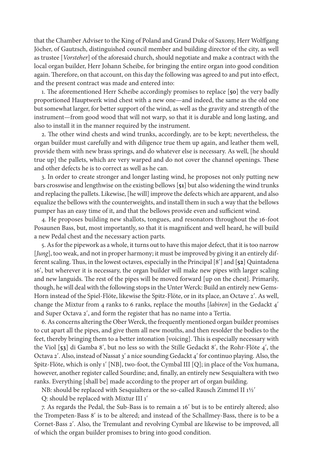that the Chamber Adviser to the King of Poland and Grand Duke of Saxony, Herr Wolffgang Jöcher, of Gautzsch, distinguished council member and building director of the city, as well as trustee [*Vorsteher*] of the aforesaid church, should negotiate and make a contract with the local organ builder, Herr Johann Scheibe, for bringing the entire organ into good condition again. Therefore, on that account, on this day the following was agreed to and put into effect, and the present contract was made and entered into:

1. The aforementioned Herr Scheibe accordingly promises to replace [**50**] the very badly proportioned Hauptwerk wind chest with a new one—and indeed, the same as the old one but somewhat larger, for better support of the wind, as well as the gravity and strength of the instrument—from good wood that will not warp, so that it is durable and long lasting, and also to install it in the manner required by the instrument.

2. The other wind chests and wind trunks, accordingly, are to be kept; nevertheless, the organ builder must carefully and with diligence true them up again, and leather them well, provide them with new brass springs, and do whatever else is necessary. As well, [he should true up] the pallets, which are very warped and do not cover the channel openings. These and other defects he is to correct as well as he can.

3. In order to create stronger and longer lasting wind, he proposes not only putting new bars crosswise and lengthwise on the existing bellows [**51**] but also widening the wind trunks and replacing the pallets. Likewise, [he will] improve the defects which are apparent, and also equalize the bellows with the counterweights, and install them in such a way that the bellows pumper has an easy time of it, and that the bellows provide even and sufficient wind.

4. He proposes building new shallots, tongues, and resonators throughout the 16-foot Posaunen Bass, but, most importantly, so that it is magnificent and well heard, he will build a new Pedal chest and the necessary action parts.

5. As for the pipework as a whole, it turns out to have this major defect, that it is too narrow [*Jung*], too weak, and not in proper harmony; it must be improved by giving it an entirely different scaling. Thus, in the lowest octaves, especially in the Principal [8ʹ] and [**52**] Quintadena 16ʹ, but wherever it is necessary, the organ builder will make new pipes with larger scaling and new languids. The rest of the pipes will be moved forward [up on the chest]. Primarily, though, he will deal with the following stops in the Unter Werck: Build an entirely new Gems-Horn instead of the Spiel-Flöte, likewise the Spitz-Flöte, or in its place, an Octave 2ʹ. As well, change the Mixtur from 4 ranks to 6 ranks, replace the mouths [*labiren*] in the Gedackt 4ʹ and Super Octava 2ʹ, and form the register that has no name into a Tertia.

6. As concerns altering the Ober Werck, the frequently mentioned organ builder promises to cut apart all the pipes, and give them all new mouths, and then resolder the bodies to the feet, thereby bringing them to a better intonation [voicing]. This is especially necessary with the Viol [**53**] di Gamba 8ʹ, but no less so with the Stille Gedackt 8ʹ, the Rohr-Flöte 4ʹ, the Octava 2ʹ. Also, instead of Nassat 3ʹ a nice sounding Gedackt 4ʹ for continuo playing. Also, the Spitz-Flöte, which is only 1ʹ [NB], two-foot, the Cymbal III [Q]; in place of the Vox humana, however, another register called Sourdine; and, finally, an entirely new Sesquialtera with two ranks. Everything [shall be] made according to the proper art of organ building.

NB: should be replaced with Sesquialtera or the so-called Rausch Zimmel II 1½ʹ

Q: should be replaced with Mixtur III 1ʹ

7. As regards the Pedal, the Sub-Bass is to remain a 16ʹ but is to be entirely altered; also the Trompeten-Bass 8ʹ is to be altered; and instead of the Schallmey-Bass, there is to be a Cornet-Bass 2ʹ. Also, the Tremulant and revolving Cymbal are likewise to be improved, all of which the organ builder promises to bring into good condition.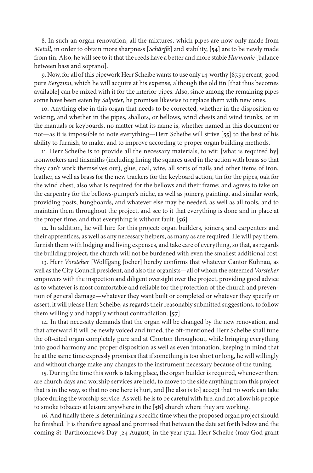8. In such an organ renovation, all the mixtures, which pipes are now only made from *Metall*, in order to obtain more sharpness [*Schärffe*] and stability, [**54**] are to be newly made from tin. Also, he will see to it that the reeds have a better and more stable *Harmonie* [balance between bass and soprano].

9. Now, for all of this pipework Herr Scheibe wants to use only 14-worthy [87.5 percent] good pure *Bergzinn*, which he will acquire at his expense, although the old tin [that thus becomes available] can be mixed with it for the interior pipes. Also, since among the remaining pipes some have been eaten by *Salpeter*, he promises likewise to replace them with new ones.

10. Anything else in this organ that needs to be corrected, whether in the disposition or voicing, and whether in the pipes, shallots, or bellows, wind chests and wind trunks, or in the manuals or keyboards, no matter what its name is, whether named in this document or not—as it is impossible to note everything—Herr Scheibe will strive [**55**] to the best of his ability to furnish, to make, and to improve according to proper organ building methods.

11. Herr Scheibe is to provide all the necessary materials, to wit: [what is required by] ironworkers and tinsmiths (including lining the squares used in the action with brass so that they can't work themselves out), glue, coal, wire, all sorts of nails and other items of iron, leather, as well as brass for the new trackers for the keyboard action, tin for the pipes, oak for the wind chest, also what is required for the bellows and their frame; and agrees to take on the carpentry for the bellows-pumper's niche, as well as joinery, painting, and similar work, providing posts, bungboards, and whatever else may be needed, as well as all tools, and to maintain them throughout the project, and see to it that everything is done and in place at the proper time, and that everything is without fault. [**56**]

12. In addition, he will hire for this project: organ builders, joiners, and carpenters and their apprentices, as well as any necessary helpers, as many as are required. He will pay them, furnish them with lodging and living expenses, and take care of everything, so that, as regards the building project, the church will not be burdened with even the smallest additional cost.

13. Herr *Vorsteher* [Wolffgang Jöcher] hereby confirms that whatever Cantor Kuhnau, as well as the City Council president, and also the organists—all of whom the esteemed *Vorsteher*  empowers with the inspection and diligent oversight over the project, providing good advice as to whatever is most comfortable and reliable for the protection of the church and prevention of general damage—whatever they want built or completed or whatever they specify or assert, it will please Herr Scheibe, as regards their reasonably submitted suggestions, to follow them willingly and happily without contradiction. [**57**]

14. In that necessity demands that the organ will be changed by the new renovation, and that afterward it will be newly voiced and tuned, the oft-mentioned Herr Scheibe shall tune the oft-cited organ completely pure and at Chorton throughout, while bringing everything into good harmony and proper disposition as well as even intonation, keeping in mind that he at the same time expressly promises that if something is too short or long, he will willingly and without charge make any changes to the instrument necessary because of the tuning.

15. During the time this work is taking place, the organ builder is required, whenever there are church days and worship services are held, to move to the side anything from this project that is in the way, so that no one here is hurt, and [he also is to] accept that no work can take place during the worship service. As well, he is to be careful with fire, and not allow his people to smoke tobacco at leisure anywhere in the [**58**] church where they are working.

16. And finally there is determining a specific time when the proposed organ project should be finished. It is therefore agreed and promised that between the date set forth below and the coming St. Bartholomew's Day [24 August] in the year 1722, Herr Scheibe (may God grant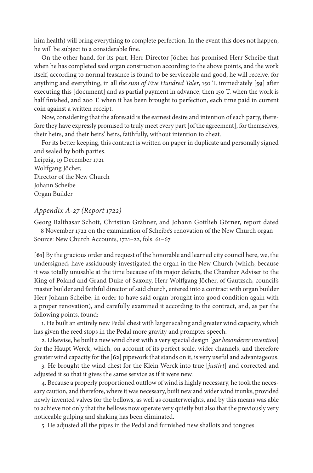him health) will bring everything to complete perfection. In the event this does not happen, he will be subject to a considerable fine.

On the other hand, for its part, Herr Director Jöcher has promised Herr Scheibe that when he has completed said organ construction according to the above points, and the work itself, according to normal feasance is found to be serviceable and good, he will receive, for anything and everything, in all *the sum of Five Hundred Taler*, 150 T. immediately [**59**] after executing this [document] and as partial payment in advance, then 150 T. when the work is half finished, and 200 T. when it has been brought to perfection, each time paid in current coin against a written receipt.

Now, considering that the aforesaid is the earnest desire and intention of each party, therefore they have expressly promised to truly meet every part [of the agreement], for themselves, their heirs, and their heirs' heirs, faithfully, without intention to cheat.

For its better keeping, this contract is written on paper in duplicate and personally signed and sealed by both parties.

Leipzig, 19 December 1721 Wolffgang Jöcher, Director of the New Church Johann Scheibe Organ Builder

# *Appendix A-27 (Report 1722)*

Georg Balthasar Schott, Christian Gräbner, and Johann Gottlieb Görner, report dated

8 November 1722 on the examination of Scheibe's renovation of the New Church organ Source: New Church Accounts, 1721–22, fols. 61–67

[**61**] By the gracious order and request of the honorable and learned city council here, we, the undersigned, have assiduously investigated the organ in the New Church (which, because it was totally unusable at the time because of its major defects, the Chamber Adviser to the King of Poland and Grand Duke of Saxony, Herr Wolffgang Jöcher, of Gautzsch, council's master builder and faithful director of said church, entered into a contract with organ builder Herr Johann Scheibe, in order to have said organ brought into good condition again with a proper renovation), and carefully examined it according to the contract, and, as per the following points, found:

1. He built an entirely new Pedal chest with larger scaling and greater wind capacity, which has given the reed stops in the Pedal more gravity and prompter speech.

2. Likewise, he built a new wind chest with a very special design [*gar besonderer invention*] for the Haupt Werck, which, on account of its perfect scale, wider channels, and therefore greater wind capacity for the [**62**] pipework that stands on it, is very useful and advantageous.

3. He brought the wind chest for the Klein Werck into true [*justirt*] and corrected and adjusted it so that it gives the same service as if it were new.

4. Because a properly proportioned outflow of wind is highly necessary, he took the necessary caution, and therefore, where it was necessary, built new and wider wind trunks, provided newly invented valves for the bellows, as well as counterweights, and by this means was able to achieve not only that the bellows now operate very quietly but also that the previously very noticeable gulping and shaking has been eliminated.

5. He adjusted all the pipes in the Pedal and furnished new shallots and tongues.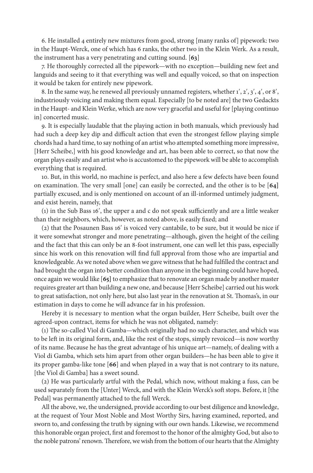6. He installed 4 entirely new mixtures from good, strong [many ranks of] pipework: two in the Haupt-Werck, one of which has 6 ranks, the other two in the Klein Werk. As a result, the instrument has a very penetrating and cutting sound. [**63**]

7. He thoroughly corrected all the pipework—with no exception—building new feet and languids and seeing to it that everything was well and equally voiced, so that on inspection it would be taken for entirely new pipework.

8. In the same way, he renewed all previously unnamed registers, whether 1ʹ, 2ʹ, 3ʹ, 4ʹ, or 8ʹ, industriously voicing and making them equal. Especially [to be noted are] the two Gedackts in the Haupt- and Klein Werke, which are now very graceful and useful for [playing continuo in] concerted music.

9. It is especially laudable that the playing action in both manuals, which previously had had such a deep key dip and difficult action that even the strongest fellow playing simple chords had a hard time, to say nothing of an artist who attempted something more impressive, [Herr Scheibe,] with his good knowledge and art, has been able to correct, so that now the organ plays easily and an artist who is accustomed to the pipework will be able to accomplish everything that is required.

10. But, in this world, no machine is perfect, and also here a few defects have been found on examination. The very small [one] can easily be corrected, and the other is to be [**64]** partially excused, and is only mentioned on account of an ill-informed untimely judgment, and exist herein, namely, that

(1) in the Sub Bass 16ʹ, the upper a and c do not speak sufficiently and are a little weaker than their neighbors, which, however, as noted above, is easily fixed; and

(2) that the Posaunen Bass 16ʹ is voiced very cantabile, to be sure, but it would be nice if it were somewhat stronger and more penetrating—although, given the height of the ceiling and the fact that this can only be an 8-foot instrument, one can well let this pass, especially since his work on this renovation will find full approval from those who are impartial and knowledgeable. As we noted above when we gave witness that he had fulfilled the contract and had brought the organ into better condition than anyone in the beginning could have hoped, once again we would like [**65]** to emphasize that to renovate an organ made by another master requires greater art than building a new one, and because [Herr Scheibe] carried out his work to great satisfaction, not only here, but also last year in the renovation at St. Thomas's, in our estimation in days to come he will advance far in his profession.

Hereby it is necessary to mention what the organ builder, Herr Scheibe, built over the agreed-upon contract, items for which he was not obligated, namely:

(1) The so-called Viol di Gamba—which originally had no such character, and which was to be left in its original form, and, like the rest of the stops, simply revoiced—is now worthy of its name. Because he has the great advantage of his unique art—namely, of dealing with a Viol di Gamba, which sets him apart from other organ builders—he has been able to give it its proper gamba-like tone [**66**] and when played in a way that is not contrary to its nature, [the Viol di Gamba] has a sweet sound.

(2) He was particularly artful with the Pedal, which now, without making a fuss, can be used separately from the [Unter] Werck, and with the Klein Werck's soft stops. Before, it [the Pedal] was permanently attached to the full Werck.

All the above, we, the undersigned, provide according to our best diligence and knowledge, at the request of Your Most Noble and Most Worthy Sirs, having examined, reported, and sworn to, and confessing the truth by signing with our own hands. Likewise, we recommend this honorable organ project, first and foremost to the honor of the almighty God, but also to the noble patrons' renown. Therefore, we wish from the bottom of our hearts that the Almighty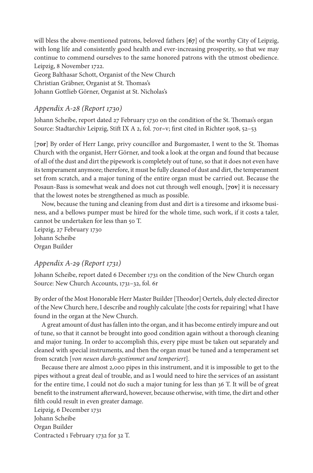will bless the above-mentioned patrons, beloved fathers [**67**] of the worthy City of Leipzig, with long life and consistently good health and ever-increasing prosperity, so that we may continue to commend ourselves to the same honored patrons with the utmost obedience. Leipzig, 8 November 1722.

Georg Balthasar Schott, Organist of the New Church Christian Gräbner, Organist at St. Thomas's Johann Gottlieb Görner, Organist at St. Nicholas's

# *Appendix A-28 (Report 1730)*

Johann Scheibe, report dated 27 February 1730 on the condition of the St. Thomas's organ Source: Stadtarchiv Leipzig, Stift IX A 2, fol. 70r**–**v; first cited in Richter 1908, 52–53

[**70r**] By order of Herr Lange, privy councillor and Burgomaster, I went to the St. Thomas Church with the organist, Herr Görner, and took a look at the organ and found that because of all of the dust and dirt the pipework is completely out of tune, so that it does not even have its temperament anymore; therefore, it must be fully cleaned of dust and dirt, the temperament set from scratch, and a major tuning of the entire organ must be carried out. Because the Posaun-Bass is somewhat weak and does not cut through well enough, [**70v**] it is necessary that the lowest notes be strengthened as much as possible.

Now, because the tuning and cleaning from dust and dirt is a tiresome and irksome business, and a bellows pumper must be hired for the whole time, such work, if it costs a taler, cannot be undertaken for less than 50 T.

Leipzig, 27 February 1730 Johann Scheibe Organ Builder

# *Appendix A-29 (Report 1731)*

Johann Scheibe, report dated 6 December 1731 on the condition of the New Church organ Source: New Church Accounts, 1731–32, fol. 6r

By order of the Most Honorable Herr Master Builder [Theodor] Oertels, duly elected director of the New Church here, I describe and roughly calculate [the costs for repairing] what I have found in the organ at the New Church.

A great amount of dust has fallen into the organ, and it has become entirely impure and out of tune, so that it cannot be brought into good condition again without a thorough cleaning and major tuning. In order to accomplish this, every pipe must be taken out separately and cleaned with special instruments, and then the organ must be tuned and a temperament set from scratch [*von neuen durch-gestimmet und temperiert*].

Because there are almost 2,000 pipes in this instrument, and it is impossible to get to the pipes without a great deal of trouble, and as I would need to hire the services of an assistant for the entire time, I could not do such a major tuning for less than 36 T. It will be of great benefit to the instrument afterward, however, because otherwise, with time, the dirt and other filth could result in even greater damage.

Leipzig, 6 December 1731 Johann Scheibe Organ Builder Contracted 1 February 1732 for 32 T.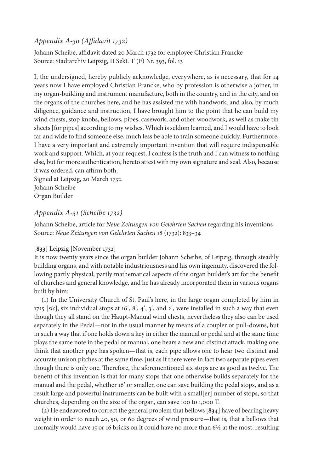# *Appendix A-30 (Affidavit 1732)*

Johann Scheibe, affidavit dated 20 March 1732 for employee Christian Francke Source: Stadtarchiv Leipzig, II Sekt. T (F) Nr. 393, fol. 13

I, the undersigned, hereby publicly acknowledge, everywhere, as is necessary, that for 14 years now I have employed Christian Francke, who by profession is otherwise a joiner, in my organ-building and instrument manufacture, both in the country, and in the city, and on the organs of the churches here, and he has assisted me with handwork, and also, by much diligence, guidance and instruction, I have brought him to the point that he can build my wind chests, stop knobs, bellows, pipes, casework, and other woodwork, as well as make tin sheets [for pipes] according to my wishes. Which is seldom learned, and I would have to look far and wide to find someone else, much less be able to train someone quickly. Furthermore, I have a very important and extremely important invention that will require indispensable work and support. Which, at your request, I confess is the truth and I can witness to nothing else, but for more authentication, hereto attest with my own signature and seal. Also, because it was ordered, can affirm both.

Signed at Leipzig, 20 March 1732. Johann Scheibe Organ Builder

# *Appendix A-31 (Scheibe 1732)*

Johann Scheibe, article for *Neue Zeitungen von Gelehrten Sachen* regarding his inventions Source: *Neue Zeitungen von Gelehrten Sachen* 18 (1732): 833–34

## [**833**] Leipzig [November 1732]

It is now twenty years since the organ builder Johann Scheibe, of Leipzig, through steadily building organs, and with notable industriousness and his own ingenuity, discovered the following partly physical, partly mathematical aspects of the organ builder's art for the benefit of churches and general knowledge, and he has already incorporated them in various organs built by him:

(1) In the University Church of St. Paul's here, in the large organ completed by him in 1715 [*sic*], six individual stops at 16ʹ, 8ʹ, 4ʹ, 3ʹ, and 2ʹ, were installed in such a way that even though they all stand on the Haupt-Manual wind chests, nevertheless they also can be used separately in the Pedal—not in the usual manner by means of a coupler or pull-downs, but in such a way that if one holds down a key in either the manual or pedal and at the same time plays the same note in the pedal or manual, one hears a new and distinct attack, making one think that another pipe has spoken—that is, each pipe allows one to hear two distinct and accurate unison pitches at the same time, just as if there were in fact two separate pipes even though there is only one. Therefore, the aforementioned six stops are as good as twelve. The benefit of this invention is that for many stops that one otherwise builds separately for the manual and the pedal, whether 16ʹ or smaller, one can save building the pedal stops, and as a result large and powerful instruments can be built with a small[er] number of stops, so that churches, depending on the size of the organ, can save 100 to 1,000 T.

(2) He endeavored to correct the general problem that bellows [**834**] have of bearing heavy weight in order to reach 40, 50, or 60 degrees of wind pressure—that is, that a bellows that normally would have 15 or 16 bricks on it could have no more than 6½ at the most, resulting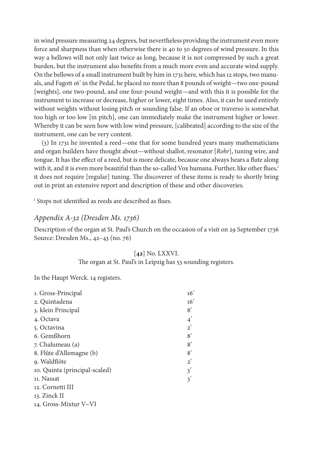in wind pressure measuring 24 degrees, but nevertheless providing the instrument even more force and sharpness than when otherwise there is 40 to 50 degrees of wind pressure. In this way a bellows will not only last twice as long, because it is not compressed by such a great burden, but the instrument also benefits from a much more even and accurate wind supply. On the bellows of a small instrument built by him in 1731 here, which has 12 stops, two manuals, and Fagott 16ʹ in the Pedal, he placed no more than 8 pounds of weight—two one-pound [weights], one two-pound, and one four-pound weight—and with this it is possible for the instrument to increase or decrease, higher or lower, eight times. Also, it can be used entirely without weights without losing pitch or sounding false. If an oboe or traverso is somewhat too high or too low [in pitch], one can immediately make the instrument higher or lower. Whereby it can be seen how with low wind pressure, [calibrated] according to the size of the instrument, one can be very content.

(3) In 1731 he invented a reed—one that for some hundred years many mathematicians and organ builders have thought about—without shallot, resonator [*Rohr*], tuning wire, and tongue. It has the effect of a reed, but is more delicate, because one always hears a flute along with it, and it is even more beautiful than the so-called Vox humana. Further, like other flues,<sup>1</sup> it does not require [regular] tuning. The discoverer of these items is ready to shortly bring out in print an extensive report and description of these and other discoveries.

<sup>1</sup> Stops not identified as reeds are described as flues.

## *Appendix A-32 (Dresden Ms. 1736)*

Description of the organ at St. Paul's Church on the occasion of a visit on 29 September 1736 Source: Dresden Ms., 42–43 (no. 76)

#### [**42**] No. LXXVI.

The organ at St. Paul's in Leipzig has 53 sounding registers.

In the Haupt Werck. 14 registers.

| 1. Gross-Principal            | 16'     |
|-------------------------------|---------|
| 2. Quintadena                 | 16'     |
| 3. klein Principal            | 8'      |
| 4. Octava                     | $4^{'}$ |
| 5. Octavina                   | $2^{'}$ |
| 6. Gemßhorn                   | 8'      |
| 7. Chalumeau (a)              | 8'      |
| 8. Flûte d'Allemagne (b)      | 8'      |
| 9. Waldflöte                  | $2^{'}$ |
| 10. Quinta (principal-scaled) | 3'      |
| 11. Nassat                    | 3'      |
| 12. Cornetti III              |         |
| 13. Zinck II                  |         |
| 14. Gross-Mixtur V–VI         |         |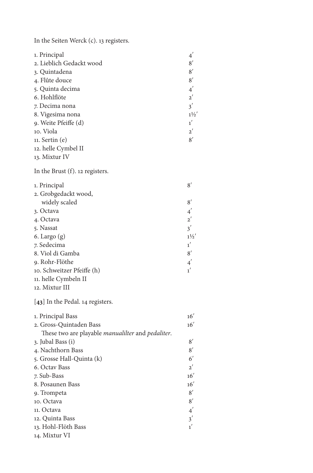In the Seiten Werck (c). 13 registers.

| 1. Principal                                      | $4^{'}$        |
|---------------------------------------------------|----------------|
| 2. Lieblich Gedackt wood                          | 8'             |
| 3. Quintadena                                     | 8'             |
| 4. Flûte douce                                    | 8'             |
| 5. Quinta decima                                  | $4^{'}$        |
| 6. Hohlflöte                                      | $2^{'}$        |
| 7. Decima nona                                    | 3'             |
| 8. Vigesima nona                                  | $1\frac{1}{2}$ |
| 9. Weite Pfeiffe (d)                              | 1'             |
| 10. Viola                                         | $2^{'}$        |
| $11.$ Sertin $(e)$                                | 8'             |
| 12. helle Cymbel II                               |                |
| 13. Mixtur IV                                     |                |
| In the Brust (f). 12 registers.                   |                |
| 1. Principal                                      | 8'             |
| 2. Grobgedackt wood,                              |                |
| widely scaled                                     | 8'             |
| 3. Octava                                         | $4^{'}$        |
| 4. Octava                                         | $2^{'}$        |
| 5. Nassat                                         | 3'             |
| 6. Largo $(g)$                                    | $1\frac{1}{2}$ |
| 7. Sedecima                                       | 1'             |
| 8. Viol di Gamba                                  | 8'             |
| 9. Rohr-Flöthe                                    | $4^{'}$        |
| 10. Schweitzer Pfeiffe (h)                        | 1 <sup>′</sup> |
| 11. helle Cymbeln II                              |                |
| 12. Mixtur III                                    |                |
| [43] In the Pedal. 14 registers.                  |                |
| 1. Principal Bass                                 | 16'            |
| 2. Gross-Quintaden Bass                           | 16'            |
| These two are playable manualilter and pedaliter. |                |
| 3. Jubal Bass (i)                                 | 8'             |
| 4. Nachthorn Bass                                 | 8'             |
| 5. Grosse Hall-Quinta (k)                         | $6^{\prime}$   |
| 6. Octav Bass                                     | $2^{'}$        |
| 7. Sub-Bass                                       | 16'            |
| 8. Posaunen Bass                                  | 16'            |
| 9. Trompeta                                       | 8'             |
| 10. Octava                                        | 8'             |
| 11. Octava                                        | $4^{'}$        |
| 12. Quinta Bass                                   | 3'             |
| 13. Hohl-Flöth Bass                               | $1^{'}$        |
| 14. Mixtur VI                                     |                |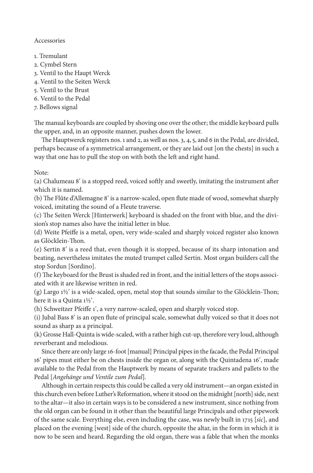## Accessories

- 1. Tremulant
- 2. Cymbel Stern
- 3. Ventil to the Haupt Werck
- 4. Ventil to the Seiten Werck
- 5. Ventil to the Brust
- 6. Ventil to the Pedal
- 7. Bellows signal

The manual keyboards are coupled by shoving one over the other; the middle keyboard pulls the upper, and, in an opposite manner, pushes down the lower.

The Hauptwerck registers nos. 1 and 2, as well as nos. 3, 4, 5, and 6 in the Pedal, are divided, perhaps because of a symmetrical arrangement, or they are laid out [on the chests] in such a way that one has to pull the stop on with both the left and right hand.

Note:

(a) Chalumeau 8ʹ is a stopped reed, voiced softly and sweetly, imitating the instrument after which it is named.

(b) The Flûte d'Allemagne 8ʹ is a narrow-scaled, open flute made of wood, somewhat sharply voiced, imitating the sound of a Fleute traverse.

(c) The Seiten Werck [Hinterwerk] keyboard is shaded on the front with blue, and the division's stop names also have the initial letter in blue.

(d) Weite Pfeiffe is a metal, open, very wide-scaled and sharply voiced register also known as Glöcklein-Thon.

(e) Sertin 8ʹ is a reed that, even though it is stopped, because of its sharp intonation and beating, nevertheless imitates the muted trumpet called Sertin. Most organ builders call the stop Sordun [Sordino].

(f) The keyboard for the Brust is shaded red in front, and the initial letters of the stops associated with it are likewise written in red.

(g) Largo 1½ʹ is a wide-scaled, open, metal stop that sounds similar to the Glöcklein-Thon; here it is a Quinta 1½ʹ.

(h) Schweitzer Pfeiffe 1ʹ, a very narrow-scaled, open and sharply voiced stop.

(i) Jubal Bass 8ʹ is an open flute of principal scale, somewhat dully voiced so that it does not sound as sharp as a principal.

(k) Grosse Hall-Quinta is wide-scaled, with a rather high cut-up, therefore very loud, although reverberant and melodious.

Since there are only large 16-foot [manual] Principal pipes in the facade, the Pedal Principal 16ʹ pipes must either be on chests inside the organ or, along with the Quintadena 16ʹ, made available to the Pedal from the Hauptwerk by means of separate trackers and pallets to the Pedal [*Angehänge und Ventile zum Pedal*]*.*

Although in certain respects this could be called a very old instrument—an organ existed in this church even before Luther's Reformation, where it stood on the midnight [north] side, next to the altar—it also in certain ways is to be considered a new instrument, since nothing from the old organ can be found in it other than the beautiful large Principals and other pipework of the same scale. Everything else, even including the case, was newly built in 1715 [*sic*], and placed on the evening [west] side of the church, opposite the altar, in the form in which it is now to be seen and heard. Regarding the old organ, there was a fable that when the monks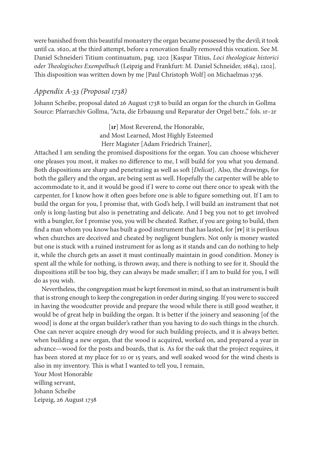were banished from this beautiful monastery the organ became possessed by the devil; it took until ca. 1620, at the third attempt, before a renovation finally removed this vexation. See M. Daniel Schneideri Titium continuatum, pag. 1202 [Kaspar Titius, *Loci theologicae historici oder Theologisches Exempelbuch* (Leipzig and Frankfurt: M. Daniel Schneider, 1684), 1202]. This disposition was written down by me [Paul Christoph Wolf] on Michaelmas 1736.

# *Appendix A-33 (Proposal 1738)*

Johann Scheibe, proposal dated 26 August 1738 to build an organ for the church in Gollma Source: Pfarrarchiv Gollma, "Acta, die Erbauung und Reparatur der Orgel betr.," fols. 1r–2r

> [**1r**] Most Reverend, the Honorable, and Most Learned, Most Highly Esteemed Herr Magister [Adam Friedrich Trainer],

Attached I am sending the promised dispositions for the organ. You can choose whichever one pleases you most, it makes no difference to me, I will build for you what you demand. Both dispositions are sharp and penetrating as well as soft [*Delicat*]. Also, the drawings, for both the gallery and the organ, are being sent as well. Hopefully the carpenter will be able to accommodate to it, and it would be good if I were to come out there once to speak with the carpenter, for I know how it often goes before one is able to figure something out. If I am to build the organ for you, I promise that, with God's help, I will build an instrument that not only is long-lasting but also is penetrating and delicate. And I beg you not to get involved with a bungler, for I promise you, you will be cheated. Rather, if you are going to build, then find a man whom you know has built a good instrument that has lasted, for [**1v**] it is perilous when churches are deceived and cheated by negligent bunglers. Not only is money wasted but one is stuck with a ruined instrument for as long as it stands and can do nothing to help it, while the church gets an asset it must continually maintain in good condition. Money is spent all the while for nothing, is thrown away, and there is nothing to see for it. Should the dispositions still be too big, they can always be made smaller; if I am to build for you, I will do as you wish.

Nevertheless, the congregation must be kept foremost in mind, so that an instrument is built that is strong enough to keep the congregation in order during singing. If you were to succeed in having the woodcutter provide and prepare the wood while there is still good weather, it would be of great help in building the organ. It is better if the joinery and seasoning [of the wood] is done at the organ builder's rather than you having to do such things in the church. One can never acquire enough dry wood for such building projects, and it is always better, when building a new organ, that the wood is acquired, worked on, and prepared a year in advance—wood for the posts and boards, that is. As for the oak that the project requires, it has been stored at my place for 10 or 15 years, and well soaked wood for the wind chests is also in my inventory. This is what I wanted to tell you, I remain,

Your Most Honorable willing servant, Johann Scheibe Leipzig, 26 August 1738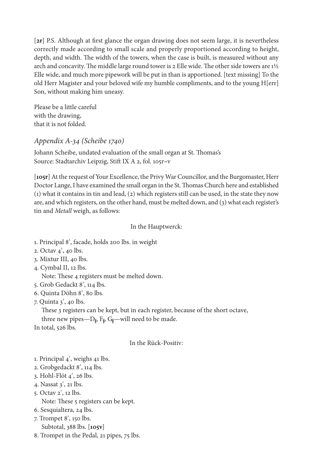[**2r**] P.S. Although at first glance the organ drawing does not seem large, it is nevertheless correctly made according to small scale and properly proportioned according to height, depth, and width. The width of the towers, when the case is built, is measured without any arch and concavity. The middle large round tower is 2 Elle wide. The other side towers are 1½ Elle wide, and much more pipework will be put in than is apportioned. [text missing] To the old Herr Magister and your beloved wife my humble compliments, and to the young H[err] Son, without making him uneasy.

Please be a little careful with the drawing, that it is not folded.

# *Appendix A-34 (Scheibe 1740)*

Johann Scheibe, undated evaluation of the small organ at St. Thomas's Source: Stadtarchiv Leipzig, Stift IX A 2, fol. 105r**–**v

[**105r**] At the request of Your Excellence, the Privy War Councillor, and the Burgomaster, Herr Doctor Lange, I have examined the small organ in the St. Thomas Church here and established (1) what it contains in tin and lead, (2) which registers still can be used, in the state they now are, and which registers, on the other hand, must be melted down, and (3) what each register's tin and *Metall* weigh, as follows:

## In the Hauptwerck:

- 1. Principal 8ʹ, facade, holds 200 lbs. in weight
- 2. Octav 4ʹ, 40 lbs.
- 3. Mixtur III, 40 lbs.
- 4. Cymbal II, 12 lbs.

Note: These 4 registers must be melted down.

- 5. Grob Gedackt 8ʹ, 114 lbs.
- 6. Quinta Döhn 8ʹ, 80 lbs.
- 7. Quinta 3ʹ, 40 lbs.

These 3 registers can be kept, but in each register, because of the short octave,

three new pipes—D $_{\sharp}$ , F $_{\sharp}$ , G $_{\sharp}$ —will need to be made.

In total, 526 lbs.

# In the Rück-Positiv:

- 1. Principal 4ʹ, weighs 41 lbs.
- 2. Grobgedackt 8ʹ, 114 lbs.
- 3. Hohl-Flöt 4ʹ, 26 lbs.
- 4. Nassat 3ʹ, 21 lbs.
- 5. Octav 2ʹ, 12 lbs. Note: These 5 registers can be kept.
- 6. Sesquialtera, 24 lbs.
- 7. Trompet 8ʹ, 150 lbs.
- Subtotal, 388 lbs. [**105v**]
- 8. Trompet in the Pedal, 21 pipes, 75 lbs.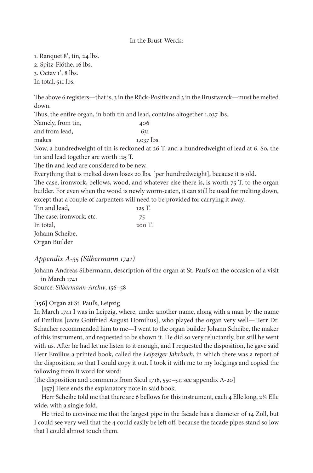#### In the Brust-Werck:

1. Ranquet 8ʹ, tin, 24 lbs.

2. Spitz-Flöthe, 16 lbs.

3. Octav 1ʹ, 8 lbs.

In total, 511 lbs.

The above 6 registers—that is, 3 in the Rück-Positiv and 3 in the Brustwerck—must be melted down.

Thus, the entire organ, in both tin and lead, contains altogether 1,037 lbs.

Namely, from tin,  $406$ and from lead, 631 makes  $1,037$  lbs. Now, a hundredweight of tin is reckoned at 26 T. and a hundredweight of lead at 6. So, the tin and lead together are worth 125 T. The tin and lead are considered to be new. Everything that is melted down loses 20 lbs. [per hundredweight], because it is old. The case, ironwork, bellows, wood, and whatever else there is, is worth 75 T. to the organ builder. For even when the wood is newly worm-eaten, it can still be used for melting down, except that a couple of carpenters will need to be provided for carrying it away. Tin and lead, 125 T. The case, ironwork, etc. 75 In total, 200 T. Johann Scheibe,

Organ Builder

# *Appendix A-35 (Silbermann 1741)*

Johann Andreas Silbermann, description of the organ at St. Paul's on the occasion of a visit in March 1741

Source: *Silbermann-Archiv*, 156–58

## [**156**] Organ at St. Paul's, Leipzig

In March 1741 I was in Leipzig, where, under another name, along with a man by the name of Emilius [*recte* Gottfried August Homilius], who played the organ very well—Herr Dr. Schacher recommended him to me—I went to the organ builder Johann Scheibe, the maker of this instrument, and requested to be shown it. He did so very reluctantly, but still he went with us. After he had let me listen to it enough, and I requested the disposition, he gave said Herr Emilius a printed book, called the *Leipziger Jahrbuch*, in which there was a report of the disposition, so that I could copy it out. I took it with me to my lodgings and copied the following from it word for word:

[the disposition and comments from Sicul 1718, 550–51; see appendix A-20]

[**157**] Here ends the explanatory note in said book.

Herr Scheibe told me that there are 6 bellows for this instrument, each 4 Elle long,  $2\frac{1}{4}$  Elle wide, with a single fold.

He tried to convince me that the largest pipe in the facade has a diameter of 14 Zoll, but I could see very well that the 4 could easily be left off, because the facade pipes stand so low that I could almost touch them.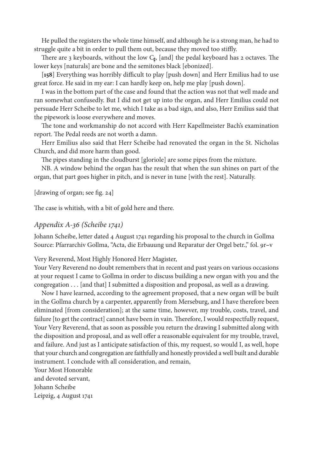He pulled the registers the whole time himself, and although he is a strong man, he had to struggle quite a bit in order to pull them out, because they moved too stiffly.

There are 3 keyboards, without the low  $C_{\text{ft}}$ , [and] the pedal keyboard has 2 octaves. The lower keys [naturals] are bone and the semitones black [ebonized].

[**158**] Everything was horribly difficult to play [push down] and Herr Emilius had to use great force. He said in my ear: I can hardly keep on, help me play [push down].

I was in the bottom part of the case and found that the action was not that well made and ran somewhat confusedly. But I did not get up into the organ, and Herr Emilius could not persuade Herr Scheibe to let me, which I take as a bad sign, and also, Herr Emilius said that the pipework is loose everywhere and moves.

The tone and workmanship do not accord with Herr Kapellmeister Bach's examination report. The Pedal reeds are not worth a damn.

Herr Emilius also said that Herr Scheibe had renovated the organ in the St. Nicholas Church, and did more harm than good.

The pipes standing in the cloudburst [gloriole] are some pipes from the mixture.

NB. A window behind the organ has the result that when the sun shines on part of the organ, that part goes higher in pitch, and is never in tune [with the rest]. Naturally.

[drawing of organ; see fig. 24]

The case is whitish, with a bit of gold here and there.

## *Appendix A-36 (Scheibe 1741)*

Johann Scheibe, letter dated 4 August 1741 regarding his proposal to the church in Gollma Source: Pfarrarchiv Gollma, "Acta, die Erbauung und Reparatur der Orgel betr.," fol. 9r**–**v

Very Reverend, Most Highly Honored Herr Magister,

Your Very Reverend no doubt remembers that in recent and past years on various occasions at your request I came to Gollma in order to discuss building a new organ with you and the congregation . . . [and that] I submitted a disposition and proposal, as well as a drawing.

Now I have learned, according to the agreement proposed, that a new organ will be built in the Gollma church by a carpenter, apparently from Merseburg, and I have therefore been eliminated [from consideration]; at the same time, however, my trouble, costs, travel, and failure [to get the contract] cannot have been in vain. Therefore, I would respectfully request, Your Very Reverend, that as soon as possible you return the drawing I submitted along with the disposition and proposal, and as well offer a reasonable equivalent for my trouble, travel, and failure. And just as I anticipate satisfaction of this, my request, so would I, as well, hope that your church and congregation are faithfully and honestly provided a well built and durable instrument. I conclude with all consideration, and remain,

Your Most Honorable and devoted servant, Johann Scheibe Leipzig, 4 August 1741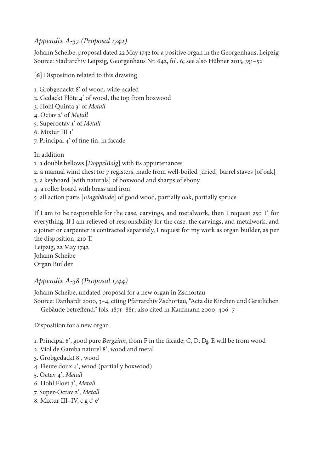# *Appendix A-37 (Proposal 1742)*

Johann Scheibe, proposal dated 22 May 1742 for a positive organ in the Georgenhaus, Leipzig Source: Stadtarchiv Leipzig, Georgenhaus Nr. 642, fol. 6; see also Hübner 2013, 351–52

[**6**] Disposition related to this drawing

- 1. Grobgedackt 8ʹ of wood, wide-scaled
- 2. Gedackt Flöte 4ʹ of wood, the top from boxwood
- 3. Hohl Quinta 3ʹ of *Metall*
- 4. Octav 2ʹ of *Metall*
- 5. Superoctav 1ʹ of *Metall*
- 6. Mixtur III 1ʹ
- 7. Principal 4ʹ of fine tin, in facade

In addition

- 1. a double bellows [*DoppelBalg*] with its appurtenances
- 2. a manual wind chest for 7 registers, made from well-boiled [dried] barrel staves [of oak]
- 3. a keyboard [with naturals] of boxwood and sharps of ebony
- 4. a roller board with brass and iron
- 5. all action parts [*Eingebäude*] of good wood, partially oak, partially spruce.

If I am to be responsible for the case, carvings, and metalwork, then I request 250 T. for everything. If I am relieved of responsibility for the case, the carvings, and metalwork, and a joiner or carpenter is contracted separately, I request for my work as organ builder, as per the disposition, 210 T.

Leipzig, 22 May 1742 Johann Scheibe Organ Builder

# *Appendix A-38 (Proposal 1744)*

Johann Scheibe, undated proposal for a new organ in Zschortau Source: Dänhardt 2000, 3–4, citing Pfarrarchiv Zschortau, "Acta die Kirchen und Geistlichen

Gebäude betreffend," fols. 187r–88r; also cited in Kaufmann 2000, 406–7

Disposition for a new organ

- 1. Principal 8', good pure *Bergzinn*, from F in the facade; C, D, D<sub>\$</sub>, E will be from wood
- 2. Viol de Gamba naturel 8ʹ, wood and metal
- 3. Grobgedackt 8ʹ, wood
- 4. Fleute doux 4ʹ, wood (partially boxwood)
- 5. Octav 4ʹ, *Metall*
- 6. Hohl Floet 3ʹ, *Metall*
- 7. Super-Octav 2ʹ, *Metall*
- 8. Mixtur III–IV, c g c<sup>1</sup> e<sup>1</sup>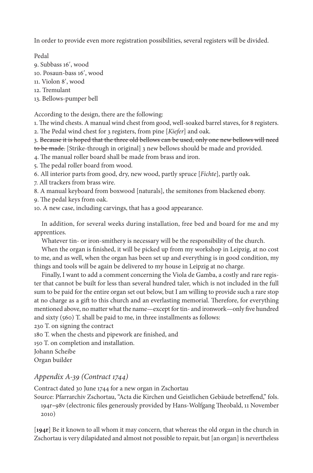In order to provide even more registration possibilities, several registers will be divided.

Pedal

9. Subbass 16ʹ, wood

10. Posaun-bass 16ʹ, wood

11. Violon 8ʹ, wood

12. Tremulant

13. Bellows-pumper bell

According to the design, there are the following:

1. The wind chests. A manual wind chest from good, well-soaked barrel staves, for 8 registers.

2. The Pedal wind chest for 3 registers, from pine [*Kiefer*] and oak.

3. Because it is hoped that the three old bellows can be used, only one new bellows will need to be made. [Strike-through in original] 3 new bellows should be made and provided.

4. The manual roller board shall be made from brass and iron.

5. The pedal roller board from wood.

6. All interior parts from good, dry, new wood, partly spruce [*Fichte*], partly oak.

7. All trackers from brass wire.

8. A manual keyboard from boxwood [naturals], the semitones from blackened ebony.

9. The pedal keys from oak.

10. A new case, including carvings, that has a good appearance.

In addition, for several weeks during installation, free bed and board for me and my apprentices.

Whatever tin- or iron-smithery is necessary will be the responsibility of the church.

When the organ is finished, it will be picked up from my workshop in Leipzig, at no cost to me, and as well, when the organ has been set up and everything is in good condition, my things and tools will be again be delivered to my house in Leipzig at no charge.

Finally, I want to add a comment concerning the Viola de Gamba, a costly and rare register that cannot be built for less than several hundred taler, which is not included in the full sum to be paid for the entire organ set out below, but I am willing to provide such a rare stop at no charge as a gift to this church and an everlasting memorial. Therefore, for everything mentioned above, no matter what the name—except for tin- and ironwork—only five hundred and sixty (560) T. shall be paid to me, in three installments as follows:

230 T. on signing the contract 180 T. when the chests and pipework are finished, and 150 T. on completion and installation. Johann Scheibe Organ builder

# *Appendix A-39 (Contract 1744)*

Contract dated 30 June 1744 for a new organ in Zschortau

Source: Pfarrarchiv Zschortau, "Acta die Kirchen und Geistlichen Gebäude betreffend," fols. 194r**–**98v (electronic files generously provided by Hans-Wolfgang Theobald, 11 November 2010)

[**194r**] Be it known to all whom it may concern, that whereas the old organ in the church in Zschortau is very dilapidated and almost not possible to repair, but [an organ] is nevertheless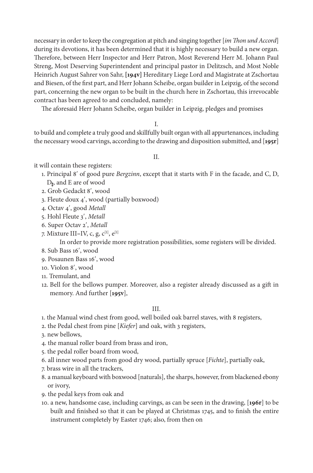necessary in order to keep the congregation at pitch and singing together [*im Thon und Accord*] during its devotions, it has been determined that it is highly necessary to build a new organ. Therefore, between Herr Inspector and Herr Patron, Most Reverend Herr M. Johann Paul Streng, Most Deserving Superintendent and principal pastor in Delitzsch, and Most Noble Heinrich August Sahrer von Sahr, **[194v]** Hereditary Liege Lord and Magistrate at Zschortau and Biesen, of the first part, and Herr Johann Scheibe, organ builder in Leipzig, of the second part, concerning the new organ to be built in the church here in Zschortau, this irrevocable contract has been agreed to and concluded, namely:

The aforesaid Herr Johann Scheibe, organ builder in Leipzig, pledges and promises

## I.

to build and complete a truly good and skillfully built organ with all appurtenances, including the necessary wood carvings, according to the drawing and disposition submitted, and [**195r**]

#### II.

it will contain these registers:

- 1. Principal 8ʹ of good pure *Bergzinn*, except that it starts with F in the facade, and C, D, D<sup> $#$ </sup>, and E are of wood
- 2. Grob Gedackt 8ʹ, wood
- 3. Fleute doux 4ʹ, wood (partially boxwood)
- 4. Octav 4ʹ, good *Metall*
- 5. Hohl Fleute 3ʹ, *Metall*
- 6. Super Octav 2ʹ, *Metall*
- 7. Mixture III–IV, c, g, c<sup>[1]</sup>, e<sup>[1]</sup>

In order to provide more registration possibilities, some registers will be divided.

- 8. Sub Bass 16ʹ, wood
- 9. Posaunen Bass 16ʹ, wood
- 10. Violon 8ʹ, wood
- 11. Tremulant, and
- 12. Bell for the bellows pumper. Moreover, also a register already discussed as a gift in memory. And further [**195v**],

## III.

1. the Manual wind chest from good, well boiled oak barrel staves, with 8 registers,

- 2. the Pedal chest from pine [*Kiefer*] and oak, with 3 registers,
- 3. new bellows,
- 4. the manual roller board from brass and iron,
- 5. the pedal roller board from wood,
- 6. all inner wood parts from good dry wood, partially spruce [*Fichte*], partially oak,
- 7. brass wire in all the trackers,
- 8. a manual keyboard with boxwood [naturals], the sharps, however, from blackened ebony or ivory,
- 9. the pedal keys from oak and
- 10. a new, handsome case, including carvings, as can be seen in the drawing, [**196r**] to be built and finished so that it can be played at Christmas 1745, and to finish the entire instrument completely by Easter 1746; also, from then on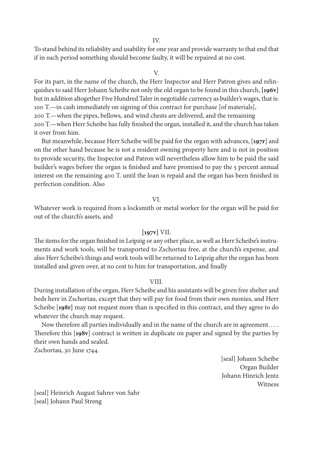IV.

To stand behind its reliability and usability for one year and provide warranty to that end that if in such period something should become faulty, it will be repaired at no cost.

#### V.

For its part, in the name of the church, the Herr Inspector and Herr Patron gives and relinquishes to said Herr Johann Scheibe not only the old organ to be found in this church, **[196v]**  but in addition altogether Five Hundred Taler in negotiable currency as builder's wages, that is: 100 T.—in cash immediately on signing of this contract for purchase [of materials], 200 T.—when the pipes, bellows, and wind chests are delivered, and the remaining 200 T.—when Herr Scheibe has fully finished the organ, installed it, and the church has taken

it over from him.

But meanwhile, because Herr Scheibe will be paid for the organ with advances, [**197r**] and on the other hand because he is not a resident owning property here and is not in position to provide security, the Inspector and Patron will nevertheless allow him to be paid the said builder's wages before the organ is finished and have promised to pay the 5 percent annual interest on the remaining 400 T. until the loan is repaid and the organ has been finished in perfection condition. Also

#### VI.

Whatever work is required from a locksmith or metal worker for the organ will be paid for out of the church's assets, and

## **[197v]** VII.

The items for the organ finished in Leipzig or any other place, as well as Herr Scheibe's instruments and work tools, will be transported to Zschortau free, at the church's expense, and also Herr Scheibe's things and work tools will be returned to Leipzig after the organ has been installed and given over, at no cost to him for transportation, and finally

#### VIII.

During installation of the organ, Herr Scheibe and his assistants will be given free shelter and beds here in Zschortau, except that they will pay for food from their own monies, and Herr Scheibe [**198r]** may not request more than is specified in this contract, and they agree to do whatever the church may request.

Now therefore all parties individually and in the name of the church are in agreement. . . . Therefore this [**198v**] contract is written in duplicate on paper and signed by the parties by their own hands and sealed.

Zschortau, 30 June 1744.

[seal] Johann Scheibe Organ Builder Johann Hinrich Jentz Witness

[seal] Heinrich August Sahrer von Sahr [seal] Johann Paul Streng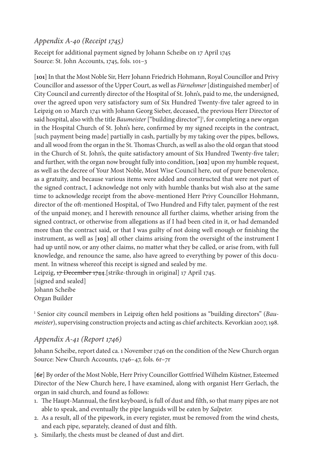# *Appendix A-40 (Receipt 1745)*

Receipt for additional payment signed by Johann Scheibe on 17 April 1745 Source: St. John Accounts, 1745, fols. 101–3

[**101**] In that the Most Noble Sir, Herr Johann Friedrich Hohmann, Royal Councillor and Privy Councillor and assessor of the Upper Court, as well as *Fürnehmer* [distinguished member] of City Council and currently director of the Hospital of St. John's, paid to me, the undersigned, over the agreed upon very satisfactory sum of Six Hundred Twenty-five taler agreed to in Leipzig on 10 March 1741 with Johann Georg Sieber, deceased, the previous Herr Director of said hospital, also with the title *Baumeister*["building director"]1 , for completing a new organ in the Hospital Church of St. John's here, confirmed by my signed receipts in the contract, [such payment being made] partially in cash, partially by my taking over the pipes, bellows, and all wood from the organ in the St. Thomas Church, as well as also the old organ that stood in the Church of St. John's, the quite satisfactory amount of Six Hundred Twenty-five taler; and further, with the organ now brought fully into condition, [**102**] upon my humble request, as well as the decree of Your Most Noble, Most Wise Council here, out of pure benevolence, as a gratuity, and because various items were added and constructed that were not part of the signed contract, I acknowledge not only with humble thanks but wish also at the same time to acknowledge receipt from the above-mentioned Herr Privy Councillor Hohmann, director of the oft-mentioned Hospital, of Two Hundred and Fifty taler, payment of the rest of the unpaid money, and I herewith renounce all further claims, whether arising from the signed contract, or otherwise from allegations as if I had been cited in it, or had demanded more than the contract said, or that I was guilty of not doing well enough or finishing the instrument, as well as [**103**] all other claims arising from the oversight of the instrument I had up until now, or any other claims, no matter what they be called, or arise from, with full knowledge, and renounce the same, also have agreed to everything by power of this document. In witness whereof this receipt is signed and sealed by me. Leipzig, 17 December 1744. [strike-through in original] 17 April 1745.

[signed and sealed] Johann Scheibe Organ Builder

1 Senior city council members in Leipzig often held positions as "building directors" (*Baumeister*), supervising construction projects and acting as chief architects. Kevorkian 2007, 198.

# *Appendix A-41 (Report 1746)*

Johann Scheibe, report dated ca. 1 November 1746 on the condition of the New Church organ Source: New Church Accounts, 1746–47, fols. 6r–7r

[**6r**] By order of the Most Noble, Herr Privy Councillor Gottfried Wilhelm Küstner, Esteemed Director of the New Church here, I have examined, along with organist Herr Gerlach, the organ in said church, and found as follows:

- 1. The Haupt-Mannual, the first keyboard, is full of dust and filth, so that many pipes are not able to speak, and eventually the pipe languids will be eaten by *Salpeter.*
- 2. As a result, all of the pipework, in every register, must be removed from the wind chests, and each pipe, separately, cleaned of dust and filth.
- 3. Similarly, the chests must be cleaned of dust and dirt.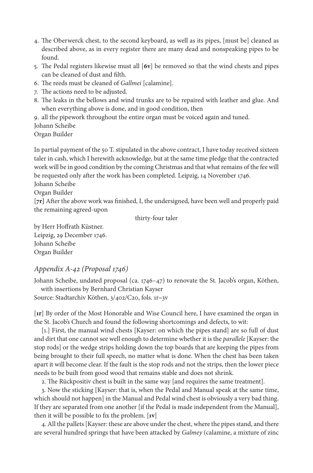- 4. The Oberwerck chest, to the second keyboard, as well as its pipes, [must be] cleaned as described above, as in every register there are many dead and nonspeaking pipes to be found.
- 5. The Pedal registers likewise must all [**6v**] be removed so that the wind chests and pipes can be cleaned of dust and filth.
- 6. The reeds must be cleaned of *Gallmei* [calamine]*.*
- 7. The actions need to be adjusted.
- 8. The leaks in the bellows and wind trunks are to be repaired with leather and glue. And when everything above is done, and in good condition, then

9. all the pipework throughout the entire organ must be voiced again and tuned. Johann Scheibe

Organ Builder

In partial payment of the 50 T. stipulated in the above contract, I have today received sixteen taler in cash, which I herewith acknowledge, but at the same time pledge that the contracted work will be in good condition by the coming Christmas and that what remains of the fee will be requested only after the work has been completed. Leipzig, 14 November 1746.

Johann Scheibe

Organ Builder

[**7r]** After the above work was finished, I, the undersigned, have been well and properly paid the remaining agreed-upon

thirty-four taler

by Herr Hoffrath Küstner. Leipzig, 29 December 1746. Johann Scheibe Organ Builder

# *Appendix A-42 (Proposal 1746)*

Johann Scheibe, undated proposal (ca. 1746–47) to renovate the St. Jacob's organ, Köthen, with insertions by Bernhard Christian Kayser

Source: Stadtarchiv Köthen, 3/402/C20, fols. 1r**–**3v

[**1r**] By order of the Most Honorable and Wise Council here, I have examined the organ in the St. Jacob's Church and found the following shortcomings and defects, to wit:

[1.] First, the manual wind chests [Kayser: on which the pipes stand] are so full of dust and dirt that one cannot see well enough to determine whether it is the *parallele* [Kayser: the stop rods] or the wedge strips holding down the top boards that are keeping the pipes from being brought to their full speech, no matter what is done. When the chest has been taken apart it will become clear. If the fault is the stop rods and not the strips, then the lower piece needs to be built from good wood that remains stable and does not shrink.

2. The Rückpositiv chest is built in the same way [and requires the same treatment].

3. Now the sticking [Kayser: that is, when the Pedal and Manual speak at the same time, which should not happen] in the Manual and Pedal wind chest is obviously a very bad thing. If they are separated from one another [if the Pedal is made independent from the Manual], then it will be possible to fix the problem. [**1v**]

4. All the pallets [Kayser: these are above under the chest, where the pipes stand, and there are several hundred springs that have been attacked by *Galmey* (calamine, a mixture of zinc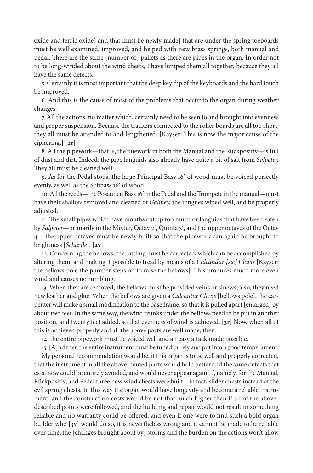oxide and ferric oxide) and that must be newly made] that are under the spring toeboards must be well examined, improved, and helped with new brass springs, both manual and pedal. There are the same [number of] pallets as there are pipes in the organ. In order not to be long-winded about the wind chests, I have lumped them all together, because they all have the same defects.

5. Certainly it is most important that the deep key dip of the keyboards and the hard touch be improved.

6. And this is the cause of most of the problems that occur to the organ during weather changes.

7. All the actions, no matter which, certainly need to be seen to and brought into evenness and proper suspension. Because the trackers connected to the roller boards are all too short, they all must be attended to and lengthened. [Kayser: This is now the major cause of the ciphering.] [**2r**]

8. All the pipework—that is, the fluework in both the Manual and the Rückpositiv—is full of dust and dirt. Indeed, the pipe languids also already have quite a bit of salt from *Salpeter.*  They all must be cleaned well.

9. As for the Pedal stops, the large Principal Bass 16ʹ of wood must be voiced perfectly evenly, as well as the Subbass 16ʹ of wood.

10. All the reeds—the Posaunen Bass 16ʹ in the Pedal and the Trompete in the manual—must have their shallots removed and cleaned of *Galmey,* the tongues wiped well, and be properly adjusted.

11. The small pipes which have mouths cut up too much or languids that have been eaten by *Salpeter*—primarily in the Mixtur, Octav 2ʹ, Quinta 3ʹ, and the upper octaves of the Octav 4ʹ—the upper octaves must be newly built so that the pipework can again be brought to brightness [*Schärffe*]. [**2v**]

12. Concerning the bellows, the rattling must be corrected, which can be accomplished by altering them, and making it possible to tread by means of a *Calcandur [sic] Clavis* [Kayser: the bellows pole the pumper steps on to raise the bellows]. This produces much more even wind and causes no rumbling.

13. When they are removed, the bellows must be provided veins or sinews; also, they need new leather and glue. When the bellows are given a *Calcantur Clavis* [bellows pole], the carpenter will make a small modification to the base frame, so that it is pulled apart [enlarged] by about two feet. In the same way, the wind trunks under the bellows need to be put in another position, and twenty feet added, so that evenness of wind is achieved. [**3r**] Now, when all of this is achieved properly and all the above parts are well made, then

14. the entire pipework must be voiced well and an easy attack made possible.

15. [A]nd then the entire instrument must be tuned purely and put into a good temperament.

My personal recommendation would be, if this organ is to be well and properly corrected, that the instrument in all the above-named parts would hold better and the same defects that exist now could be entirely avoided, and would never appear again, if, namely, for the Manual, Rückpositiv, and Pedal three new wind chests were built—in fact, slider chests instead of the evil spring chests. In this way the organ would have longevity and become a reliable instrument, and the construction costs would be not that much higher than if all of the abovedescribed points were followed, and the building and repair would not result in something reliable and no warranty could be offered, and even if one were to find such a bold organ builder who [**3v**] would do so, it is nevertheless wrong and it cannot be made to be reliable over time, the [changes brought about by] storms and the burden on the actions won't allow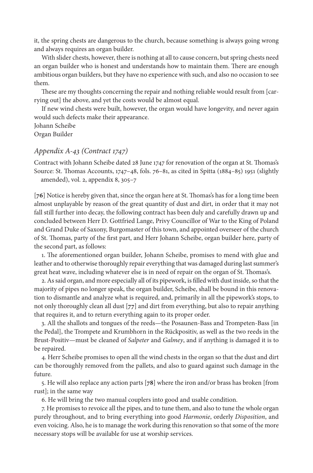it, the spring chests are dangerous to the church, because something is always going wrong and always requires an organ builder.

With slider chests, however, there is nothing at all to cause concern, but spring chests need an organ builder who is honest and understands how to maintain them. There are enough ambitious organ builders, but they have no experience with such, and also no occasion to see them.

These are my thoughts concerning the repair and nothing reliable would result from [carrying out] the above, and yet the costs would be almost equal.

If new wind chests were built, however, the organ would have longevity, and never again would such defects make their appearance.

Johann Scheibe Organ Builder

## *Appendix A-43 (Contract 1747)*

Contract with Johann Scheibe dated 28 June 1747 for renovation of the organ at St. Thomas's Source: St. Thomas Accounts, 1747–48, fols. 76–81, as cited in Spitta (1884–85) 1951 (slightly amended), vol. 2, appendix 8, 305–7

[**76**] Notice is hereby given that, since the organ here at St. Thomas's has for a long time been almost unplayable by reason of the great quantity of dust and dirt, in order that it may not fall still further into decay, the following contract has been duly and carefully drawn up and concluded between Herr D*.* Gottfried Lange, Privy Councillor of War to the King of Poland and Grand Duke of Saxony, Burgomaster of this town, and appointed overseer of the church of St. Thomas, party of the first part, and Herr Johann Scheibe, organ builder here, party of the second part, as follows:

1. The aforementioned organ builder, Johann Scheibe, promises to mend with glue and leather and to otherwise thoroughly repair everything that was damaged during last summer's great heat wave, including whatever else is in need of repair on the organ of St. Thomas's.

2. As said organ, and more especially all of its pipework, is filled with dust inside, so that the majority of pipes no longer speak, the organ builder, Scheibe, shall be bound in this renovation to dismantle and analyze what is required, and, primarily in all the pipework's stops, to not only thoroughly clean all dust [**77**] and dirt from everything, but also to repair anything that requires it, and to return everything again to its proper order.

3. All the shallots and tongues of the reeds—the Posaunen-Bass and Trompeten-Bass [in the Pedal], the Trompete and Krumbhorn in the Rückpositiv, as well as the two reeds in the Brust-Positiv—must be cleaned of *Salpeter* and *Galmey*, and if anything is damaged it is to be repaired.

4. Herr Scheibe promises to open all the wind chests in the organ so that the dust and dirt can be thoroughly removed from the pallets, and also to guard against such damage in the future.

5. He will also replace any action parts [**78**] where the iron and/or brass has broken [from rust]; in the same way

6. He will bring the two manual couplers into good and usable condition.

7. He promises to revoice all the pipes, and to tune them, and also to tune the whole organ purely throughout, and to bring everything into good *Harmonie*, orderly *Disposition*, and even voicing. Also, he is to manage the work during this renovation so that some of the more necessary stops will be available for use at worship services.